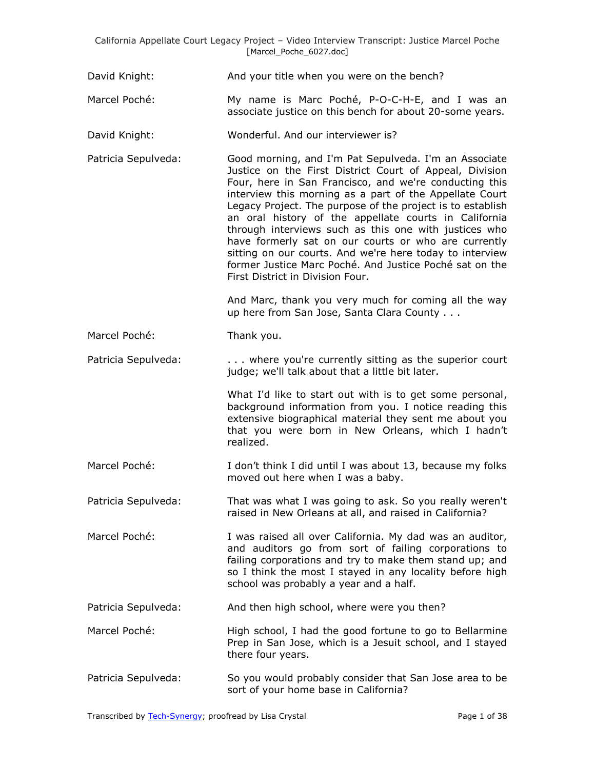David Knight: And your title when you were on the bench?

- Marcel Poché: My name is Marc Poché, P-O-C-H-E, and I was an associate justice on this bench for about 20-some years.
- David Knight: Wonderful. And our interviewer is?
- Patricia Sepulveda: Good morning, and I'm Pat Sepulveda. I'm an Associate Justice on the First District Court of Appeal, Division Four, here in San Francisco, and we're conducting this interview this morning as a part of the Appellate Court Legacy Project. The purpose of the project is to establish an oral history of the appellate courts in California through interviews such as this one with justices who have formerly sat on our courts or who are currently sitting on our courts. And we're here today to interview former Justice Marc Poché. And Justice Poché sat on the First District in Division Four.

And Marc, thank you very much for coming all the way up here from San Jose, Santa Clara County . . .

Marcel Poché: Thank you.

Patricia Sepulveda: . . . . . . where you're currently sitting as the superior court judge; we'll talk about that a little bit later.

> What I'd like to start out with is to get some personal, background information from you. I notice reading this extensive biographical material they sent me about you that you were born in New Orleans, which I hadn't realized.

- Marcel Poché: I don't think I did until I was about 13, because my folks moved out here when I was a baby.
- Patricia Sepulveda: That was what I was going to ask. So you really weren't raised in New Orleans at all, and raised in California?

Marcel Poché: I was raised all over California. My dad was an auditor, and auditors go from sort of failing corporations to failing corporations and try to make them stand up; and so I think the most I stayed in any locality before high school was probably a year and a half.

- Patricia Sepulveda: And then high school, where were you then?
- Marcel Poché: High school, I had the good fortune to go to Bellarmine Prep in San Jose, which is a Jesuit school, and I stayed there four years.
- Patricia Sepulveda: So you would probably consider that San Jose area to be sort of your home base in California?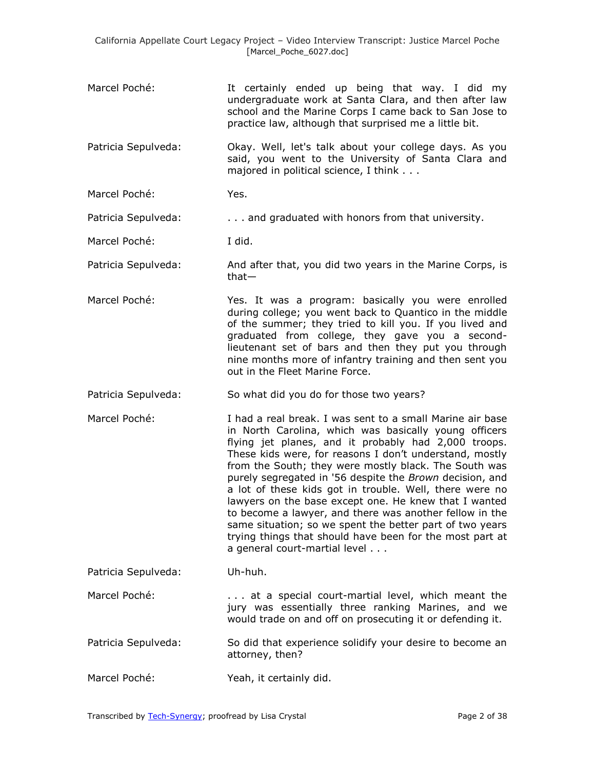- Marcel Poché: It certainly ended up being that way. I did my undergraduate work at Santa Clara, and then after law school and the Marine Corps I came back to San Jose to practice law, although that surprised me a little bit.
- Patricia Sepulveda: Okay. Well, let's talk about your college days. As you said, you went to the University of Santa Clara and majored in political science, I think . . .

Marcel Poché: Yes.

Patricia Sepulveda: . . . . . . . . and graduated with honors from that university.

Marcel Poché: I did.

- Patricia Sepulveda: And after that, you did two years in the Marine Corps, is that—
- Marcel Poché: Yes. It was a program: basically you were enrolled during college; you went back to Quantico in the middle of the summer; they tried to kill you. If you lived and graduated from college, they gave you a secondlieutenant set of bars and then they put you through nine months more of infantry training and then sent you out in the Fleet Marine Force.
- Patricia Sepulveda: So what did you do for those two years?
- Marcel Poché: I had a real break. I was sent to a small Marine air base in North Carolina, which was basically young officers flying jet planes, and it probably had 2,000 troops. These kids were, for reasons I don't understand, mostly from the South; they were mostly black. The South was purely segregated in '56 despite the *Brown* decision, and a lot of these kids got in trouble. Well, there were no lawyers on the base except one. He knew that I wanted to become a lawyer, and there was another fellow in the same situation; so we spent the better part of two years trying things that should have been for the most part at a general court-martial level . . .

Patricia Sepulveda: Uh-huh.

Marcel Poché: . . . . . . . . at a special court-martial level, which meant the jury was essentially three ranking Marines, and we would trade on and off on prosecuting it or defending it.

- Patricia Sepulveda: So did that experience solidify your desire to become an attorney, then?
- Marcel Poché: Yeah, it certainly did.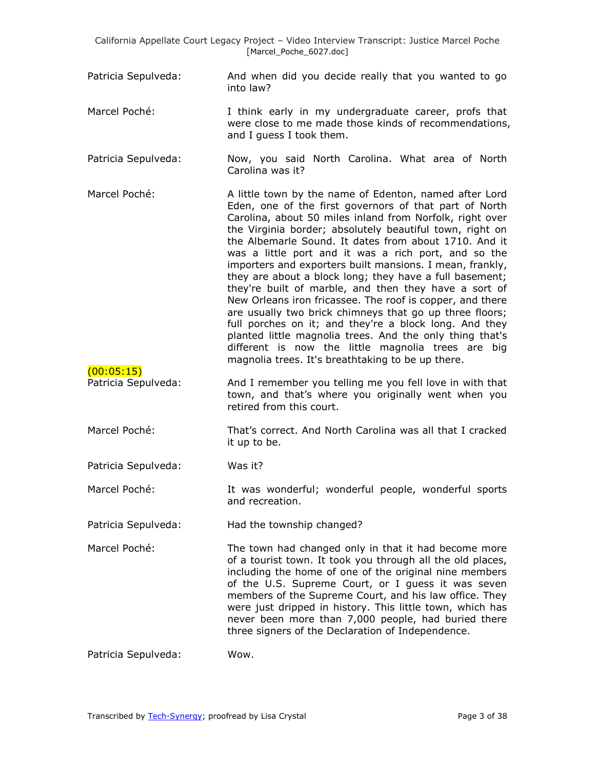- Patricia Sepulveda: And when did you decide really that you wanted to go into law?
- Marcel Poché: I think early in my undergraduate career, profs that were close to me made those kinds of recommendations, and I guess I took them.
- Patricia Sepulveda: Now, you said North Carolina. What area of North Carolina was it?
- Marcel Poché: A little town by the name of Edenton, named after Lord Eden, one of the first governors of that part of North Carolina, about 50 miles inland from Norfolk, right over the Virginia border; absolutely beautiful town, right on the Albemarle Sound. It dates from about 1710. And it was a little port and it was a rich port, and so the importers and exporters built mansions. I mean, frankly, they are about a block long; they have a full basement; they're built of marble, and then they have a sort of New Orleans iron fricassee. The roof is copper, and there are usually two brick chimneys that go up three floors; full porches on it; and they're a block long. And they planted little magnolia trees. And the only thing that's different is now the little magnolia trees are big magnolia trees. It's breathtaking to be up there.
- Patricia Sepulveda: And I remember you telling me you fell love in with that town, and that's where you originally went when you retired from this court.
- Marcel Poché: That's correct. And North Carolina was all that I cracked it up to be.

Patricia Sepulveda: Was it?

(00:05:15)

Marcel Poché: It was wonderful; wonderful people, wonderful sports and recreation.

Patricia Sepulveda: Had the township changed?

Marcel Poché: The town had changed only in that it had become more of a tourist town. It took you through all the old places, including the home of one of the original nine members of the U.S. Supreme Court, or I guess it was seven members of the Supreme Court, and his law office. They were just dripped in history. This little town, which has never been more than 7,000 people, had buried there three signers of the Declaration of Independence.

Patricia Sepulveda: Wow.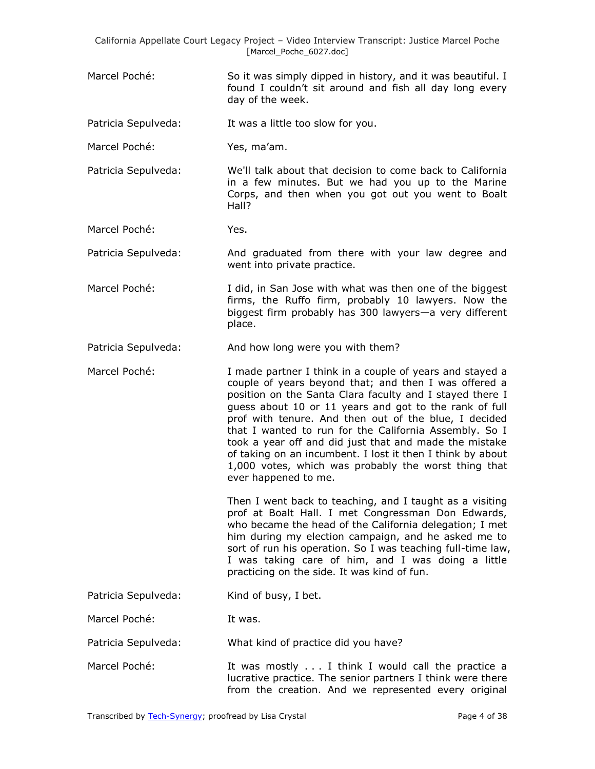Marcel Poché: So it was simply dipped in history, and it was beautiful. I found I couldn't sit around and fish all day long every day of the week.

Patricia Sepulveda: It was a little too slow for you.

- Marcel Poché: Yes, ma'am.
- Patricia Sepulveda: We'll talk about that decision to come back to California in a few minutes. But we had you up to the Marine Corps, and then when you got out you went to Boalt Hall?
- Marcel Poché: Yes.

Patricia Sepulveda: And graduated from there with your law degree and went into private practice.

- Marcel Poché: I did, in San Jose with what was then one of the biggest firms, the Ruffo firm, probably 10 lawyers. Now the biggest firm probably has 300 lawyers—a very different place.
- Patricia Sepulveda: And how long were you with them?
- Marcel Poché: I made partner I think in a couple of years and stayed a couple of years beyond that; and then I was offered a position on the Santa Clara faculty and I stayed there I guess about 10 or 11 years and got to the rank of full prof with tenure. And then out of the blue, I decided that I wanted to run for the California Assembly. So I took a year off and did just that and made the mistake of taking on an incumbent. I lost it then I think by about 1,000 votes, which was probably the worst thing that ever happened to me.

Then I went back to teaching, and I taught as a visiting prof at Boalt Hall. I met Congressman Don Edwards, who became the head of the California delegation; I met him during my election campaign, and he asked me to sort of run his operation. So I was teaching full-time law, I was taking care of him, and I was doing a little practicing on the side. It was kind of fun.

Patricia Sepulveda: Kind of busy, I bet.

Marcel Poché: It was.

Patricia Sepulveda: What kind of practice did you have?

Marcel Poché: It was mostly . . . I think I would call the practice a lucrative practice. The senior partners I think were there from the creation. And we represented every original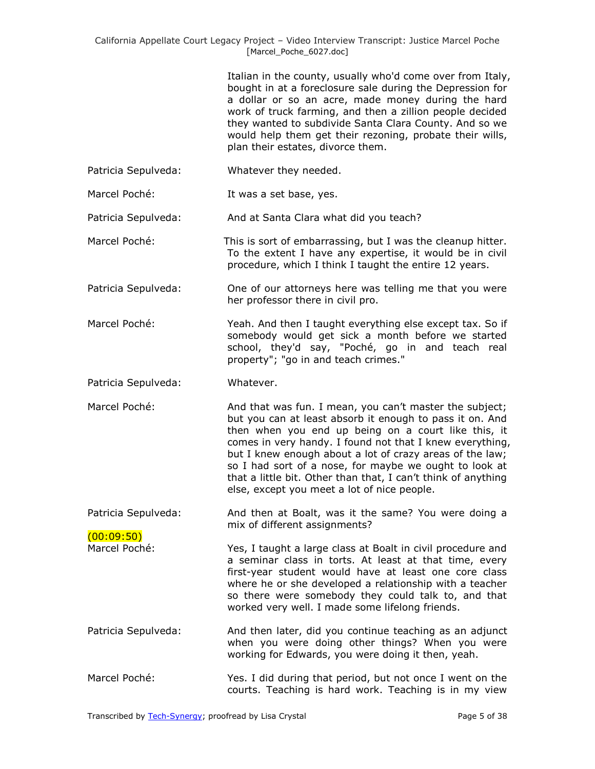Italian in the county, usually who'd come over from Italy, bought in at a foreclosure sale during the Depression for a dollar or so an acre, made money during the hard work of truck farming, and then a zillion people decided they wanted to subdivide Santa Clara County. And so we would help them get their rezoning, probate their wills, plan their estates, divorce them.

- Patricia Sepulveda: Whatever they needed.
- Marcel Poché: It was a set base, yes.

Patricia Sepulveda: And at Santa Clara what did you teach?

- Marcel Poché: This is sort of embarrassing, but I was the cleanup hitter. To the extent I have any expertise, it would be in civil procedure, which I think I taught the entire 12 years.
- Patricia Sepulveda: One of our attorneys here was telling me that you were her professor there in civil pro.
- Marcel Poché: Yeah. And then I taught everything else except tax. So if somebody would get sick a month before we started school, they'd say, "Poché, go in and teach real property"; "go in and teach crimes."
- Patricia Sepulveda: Whatever.
- Marcel Poché: And that was fun. I mean, you can't master the subject; but you can at least absorb it enough to pass it on. And then when you end up being on a court like this, it comes in very handy. I found not that I knew everything, but I knew enough about a lot of crazy areas of the law; so I had sort of a nose, for maybe we ought to look at that a little bit. Other than that, I can't think of anything else, except you meet a lot of nice people.
- Patricia Sepulveda: And then at Boalt, was it the same? You were doing a mix of different assignments?

(00:09:50) Marcel Poché: Yes, I taught a large class at Boalt in civil procedure and a seminar class in torts. At least at that time, every first-year student would have at least one core class where he or she developed a relationship with a teacher so there were somebody they could talk to, and that worked very well. I made some lifelong friends.

- Patricia Sepulveda: And then later, did you continue teaching as an adjunct when you were doing other things? When you were working for Edwards, you were doing it then, yeah.
- Marcel Poché: Yes. I did during that period, but not once I went on the courts. Teaching is hard work. Teaching is in my view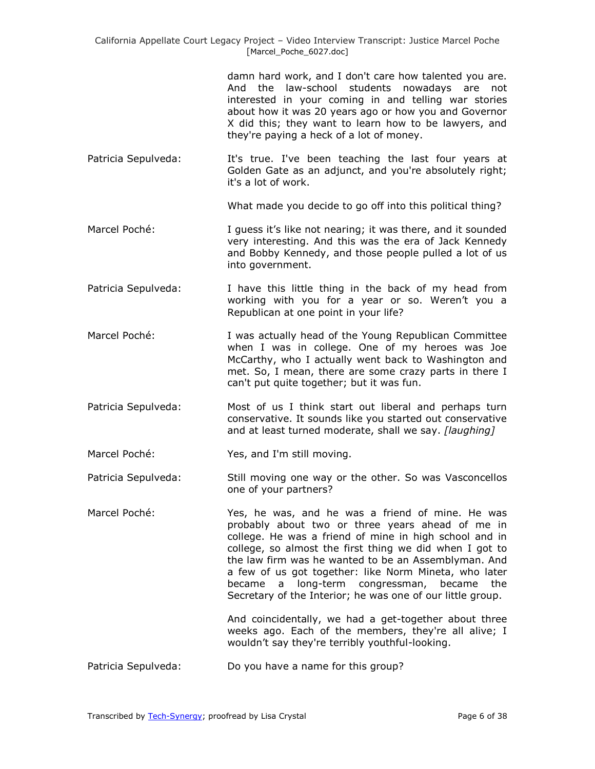> damn hard work, and I don't care how talented you are. And the law-school students nowadays are not interested in your coming in and telling war stories about how it was 20 years ago or how you and Governor X did this; they want to learn how to be lawyers, and they're paying a heck of a lot of money.

Patricia Sepulveda: It's true. I've been teaching the last four years at Golden Gate as an adjunct, and you're absolutely right; it's a lot of work.

What made you decide to go off into this political thing?

- Marcel Poché: I guess it's like not nearing; it was there, and it sounded very interesting. And this was the era of Jack Kennedy and Bobby Kennedy, and those people pulled a lot of us into government.
- Patricia Sepulveda: I have this little thing in the back of my head from working with you for a year or so. Weren't you a Republican at one point in your life?
- Marcel Poché: I was actually head of the Young Republican Committee when I was in college. One of my heroes was Joe McCarthy, who I actually went back to Washington and met. So, I mean, there are some crazy parts in there I can't put quite together; but it was fun.
- Patricia Sepulveda: Most of us I think start out liberal and perhaps turn conservative. It sounds like you started out conservative and at least turned moderate, shall we say. *[laughing]*

Marcel Poché: Yes, and I'm still moving.

- Patricia Sepulveda: Still moving one way or the other. So was Vasconcellos one of your partners?
- Marcel Poché: Yes, he was, and he was a friend of mine. He was probably about two or three years ahead of me in college. He was a friend of mine in high school and in college, so almost the first thing we did when I got to the law firm was he wanted to be an Assemblyman. And a few of us got together: like Norm Mineta, who later became a long-term congressman, became the Secretary of the Interior; he was one of our little group.

And coincidentally, we had a get-together about three weeks ago. Each of the members, they're all alive; I wouldn't say they're terribly youthful-looking.

Patricia Sepulveda: Do you have a name for this group?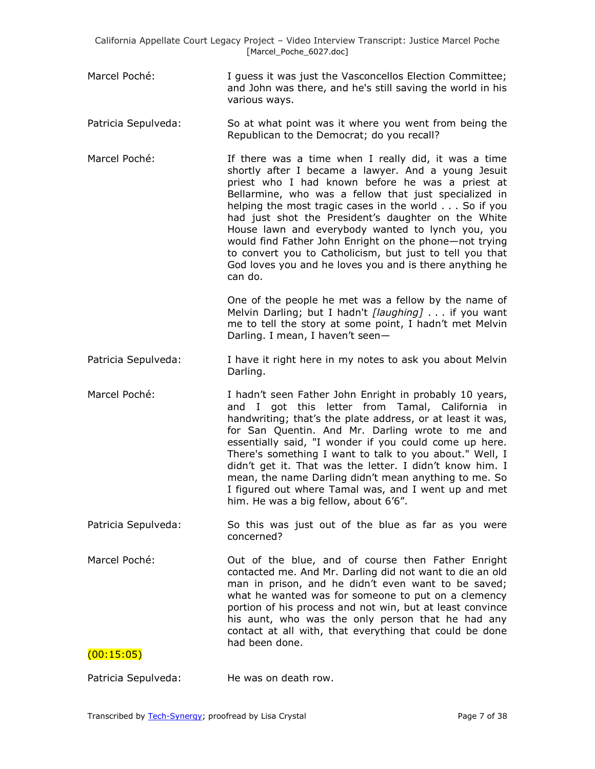- Marcel Poché: I guess it was just the Vasconcellos Election Committee; and John was there, and he's still saving the world in his various ways.
- Patricia Sepulveda: So at what point was it where you went from being the Republican to the Democrat; do you recall?
- Marcel Poché: **If there was a time when I really did, it was a time** shortly after I became a lawyer. And a young Jesuit priest who I had known before he was a priest at Bellarmine, who was a fellow that just specialized in helping the most tragic cases in the world . . . So if you had just shot the President's daughter on the White House lawn and everybody wanted to lynch you, you would find Father John Enright on the phone—not trying to convert you to Catholicism, but just to tell you that God loves you and he loves you and is there anything he can do.

One of the people he met was a fellow by the name of Melvin Darling; but I hadn't *[laughing]* . . . if you want me to tell the story at some point, I hadn't met Melvin Darling. I mean, I haven't seen—

- Patricia Sepulveda: I have it right here in my notes to ask you about Melvin Darling.
- Marcel Poché: I hadn't seen Father John Enright in probably 10 years, and I got this letter from Tamal, California in handwriting; that's the plate address, or at least it was, for San Quentin. And Mr. Darling wrote to me and essentially said, "I wonder if you could come up here. There's something I want to talk to you about." Well, I didn't get it. That was the letter. I didn't know him. I mean, the name Darling didn't mean anything to me. So I figured out where Tamal was, and I went up and met him. He was a big fellow, about 6'6".
- Patricia Sepulveda: So this was just out of the blue as far as you were concerned?
- Marcel Poché: **Out of the blue, and of course then Father Enright** contacted me. And Mr. Darling did not want to die an old man in prison, and he didn't even want to be saved; what he wanted was for someone to put on a clemency portion of his process and not win, but at least convince his aunt, who was the only person that he had any contact at all with, that everything that could be done had been done.

## $(00:15:05)$

Patricia Sepulveda: He was on death row.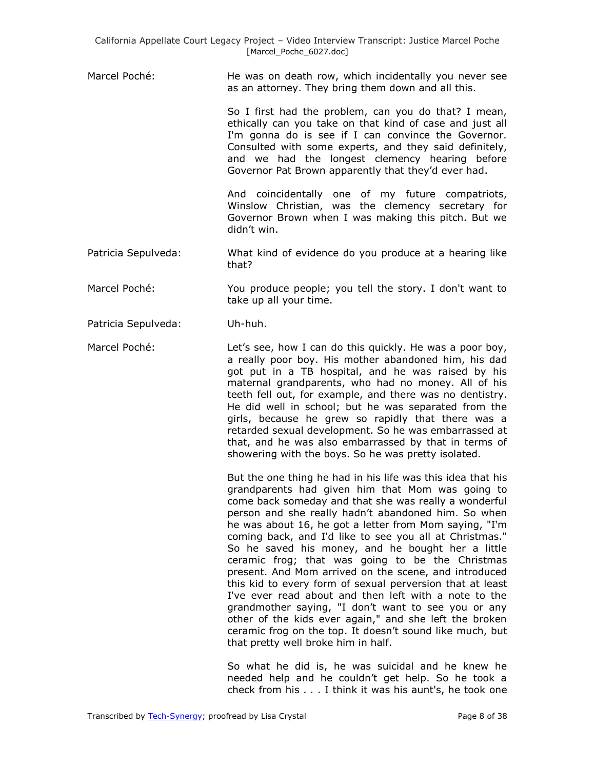Marcel Poché: He was on death row, which incidentally you never see as an attorney. They bring them down and all this.

> So I first had the problem, can you do that? I mean, ethically can you take on that kind of case and just all I'm gonna do is see if I can convince the Governor. Consulted with some experts, and they said definitely, and we had the longest clemency hearing before Governor Pat Brown apparently that they'd ever had.

> And coincidentally one of my future compatriots, Winslow Christian, was the clemency secretary for Governor Brown when I was making this pitch. But we didn't win.

- Patricia Sepulveda: What kind of evidence do you produce at a hearing like that?
- Marcel Poché: You produce people; you tell the story. I don't want to take up all your time.
- Patricia Sepulveda: Uh-huh.
- Marcel Poché: Let's see, how I can do this quickly. He was a poor boy, a really poor boy. His mother abandoned him, his dad got put in a TB hospital, and he was raised by his maternal grandparents, who had no money. All of his teeth fell out, for example, and there was no dentistry. He did well in school; but he was separated from the girls, because he grew so rapidly that there was a retarded sexual development. So he was embarrassed at that, and he was also embarrassed by that in terms of showering with the boys. So he was pretty isolated.

But the one thing he had in his life was this idea that his grandparents had given him that Mom was going to come back someday and that she was really a wonderful person and she really hadn't abandoned him. So when he was about 16, he got a letter from Mom saying, "I'm coming back, and I'd like to see you all at Christmas." So he saved his money, and he bought her a little ceramic frog; that was going to be the Christmas present. And Mom arrived on the scene, and introduced this kid to every form of sexual perversion that at least I've ever read about and then left with a note to the grandmother saying, "I don't want to see you or any other of the kids ever again," and she left the broken ceramic frog on the top. It doesn't sound like much, but that pretty well broke him in half.

So what he did is, he was suicidal and he knew he needed help and he couldn't get help. So he took a check from his . . . I think it was his aunt's, he took one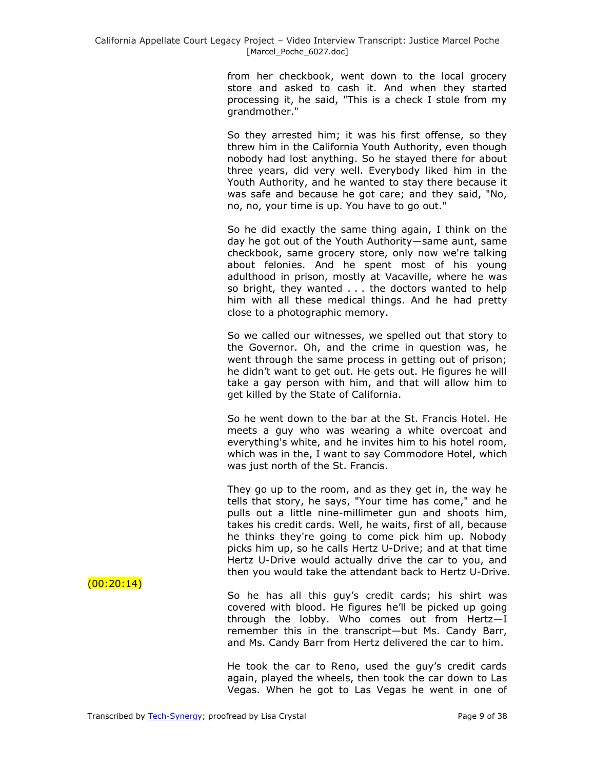from her checkbook, went down to the local grocery store and asked to cash it. And when they started processing it, he said, "This is a check I stole from my grandmother."

So they arrested him; it was his first offense, so they threw him in the California Youth Authority, even though nobody had lost anything. So he stayed there for about three years, did very well. Everybody liked him in the Youth Authority, and he wanted to stay there because it was safe and because he got care; and they said, "No, no, no, your time is up. You have to go out."

So he did exactly the same thing again, I think on the day he got out of the Youth Authority—same aunt, same checkbook, same grocery store, only now we're talking about felonies. And he spent most of his young adulthood in prison, mostly at Vacaville, where he was so bright, they wanted . . . the doctors wanted to help him with all these medical things. And he had pretty close to a photographic memory.

So we called our witnesses, we spelled out that story to the Governor. Oh, and the crime in question was, he went through the same process in getting out of prison; he didn't want to get out. He gets out. He figures he will take a gay person with him, and that will allow him to get killed by the State of California.

So he went down to the bar at the St. Francis Hotel. He meets a guy who was wearing a white overcoat and everything's white, and he invites him to his hotel room, which was in the, I want to say Commodore Hotel, which was just north of the St. Francis.

They go up to the room, and as they get in, the way he tells that story, he says, "Your time has come," and he pulls out a little nine-millimeter gun and shoots him, takes his credit cards. Well, he waits, first of all, because he thinks they're going to come pick him up. Nobody picks him up, so he calls Hertz U-Drive; and at that time Hertz U-Drive would actually drive the car to you, and then you would take the attendant back to Hertz U-Drive.

So he has all this guy's credit cards; his shirt was covered with blood. He figures he'll be picked up going through the lobby. Who comes out from Hertz—I remember this in the transcript—but Ms. Candy Barr, and Ms. Candy Barr from Hertz delivered the car to him.

He took the car to Reno, used the guy's credit cards again, played the wheels, then took the car down to Las Vegas. When he got to Las Vegas he went in one of

 $(00:20:14)$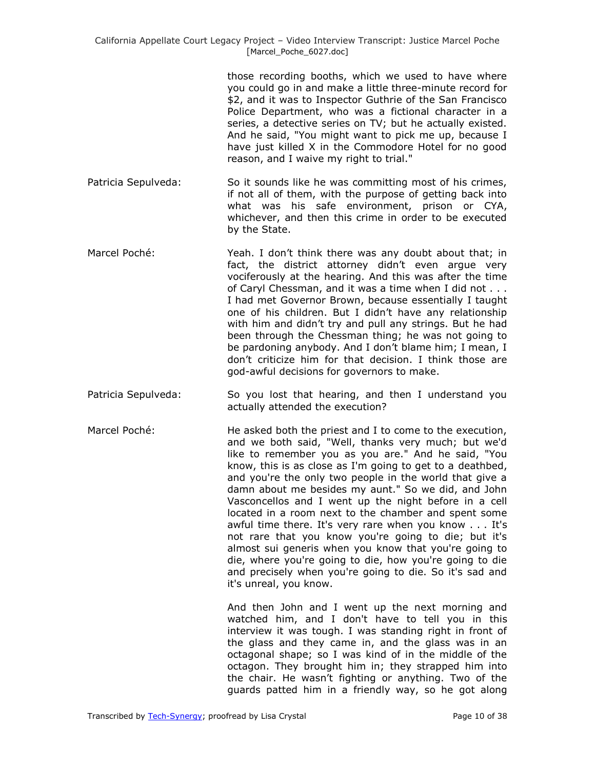those recording booths, which we used to have where you could go in and make a little three-minute record for \$2, and it was to Inspector Guthrie of the San Francisco Police Department, who was a fictional character in a series, a detective series on TV; but he actually existed. And he said, "You might want to pick me up, because I have just killed X in the Commodore Hotel for no good reason, and I waive my right to trial."

- Patricia Sepulveda: So it sounds like he was committing most of his crimes, if not all of them, with the purpose of getting back into what was his safe environment, prison or CYA, whichever, and then this crime in order to be executed by the State.
- Marcel Poché: Yeah. I don't think there was any doubt about that; in fact, the district attorney didn't even argue very vociferously at the hearing. And this was after the time of Caryl Chessman, and it was a time when I did not . . . I had met Governor Brown, because essentially I taught one of his children. But I didn't have any relationship with him and didn't try and pull any strings. But he had been through the Chessman thing; he was not going to be pardoning anybody. And I don't blame him; I mean, I don't criticize him for that decision. I think those are god-awful decisions for governors to make.
- Patricia Sepulveda: So you lost that hearing, and then I understand you actually attended the execution?
- Marcel Poché: He asked both the priest and I to come to the execution, and we both said, "Well, thanks very much; but we'd like to remember you as you are." And he said, "You know, this is as close as I'm going to get to a deathbed, and you're the only two people in the world that give a damn about me besides my aunt." So we did, and John Vasconcellos and I went up the night before in a cell located in a room next to the chamber and spent some awful time there. It's very rare when you know . . . It's not rare that you know you're going to die; but it's almost sui generis when you know that you're going to die, where you're going to die, how you're going to die and precisely when you're going to die. So it's sad and it's unreal, you know.

And then John and I went up the next morning and watched him, and I don't have to tell you in this interview it was tough. I was standing right in front of the glass and they came in, and the glass was in an octagonal shape; so I was kind of in the middle of the octagon. They brought him in; they strapped him into the chair. He wasn't fighting or anything. Two of the guards patted him in a friendly way, so he got along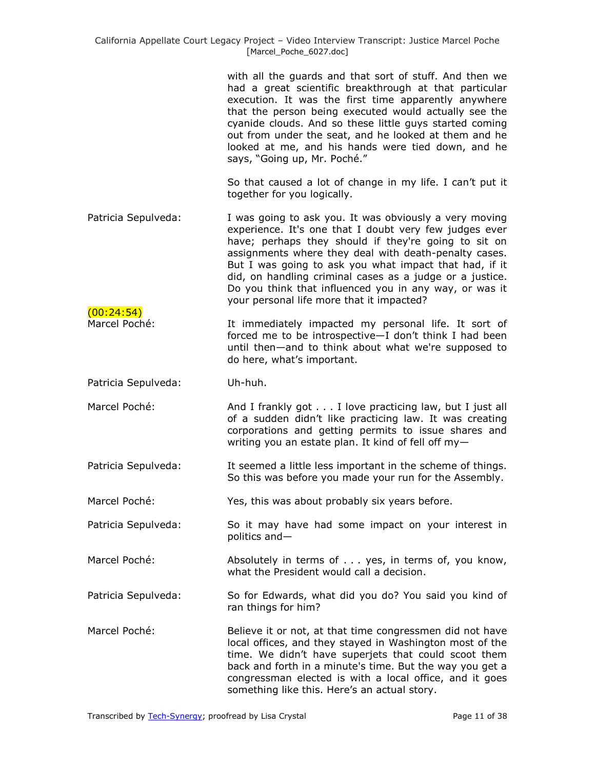with all the guards and that sort of stuff. And then we had a great scientific breakthrough at that particular execution. It was the first time apparently anywhere that the person being executed would actually see the cyanide clouds. And so these little guys started coming out from under the seat, and he looked at them and he looked at me, and his hands were tied down, and he says, "Going up, Mr. Poché."

So that caused a lot of change in my life. I can't put it together for you logically.

- Patricia Sepulveda: I was going to ask you. It was obviously a very moving experience. It's one that I doubt very few judges ever have; perhaps they should if they're going to sit on assignments where they deal with death-penalty cases. But I was going to ask you what impact that had, if it did, on handling criminal cases as a judge or a justice. Do you think that influenced you in any way, or was it your personal life more that it impacted?
- Marcel Poché: It immediately impacted my personal life. It sort of forced me to be introspective—I don't think I had been until then—and to think about what we're supposed to do here, what's important.

Patricia Sepulveda: Uh-huh.

 $(00:24:54)$ 

- Marcel Poché: And I frankly got . . . I love practicing law, but I just all of a sudden didn't like practicing law. It was creating corporations and getting permits to issue shares and writing you an estate plan. It kind of fell off my—
- Patricia Sepulveda: It seemed a little less important in the scheme of things. So this was before you made your run for the Assembly.

Marcel Poché: Yes, this was about probably six years before.

- Patricia Sepulveda: So it may have had some impact on your interest in politics and—
- Marcel Poché: Absolutely in terms of . . . yes, in terms of, you know, what the President would call a decision.
- Patricia Sepulveda: So for Edwards, what did you do? You said you kind of ran things for him?
- Marcel Poché: Believe it or not, at that time congressmen did not have local offices, and they stayed in Washington most of the time. We didn't have superjets that could scoot them back and forth in a minute's time. But the way you get a congressman elected is with a local office, and it goes something like this. Here's an actual story.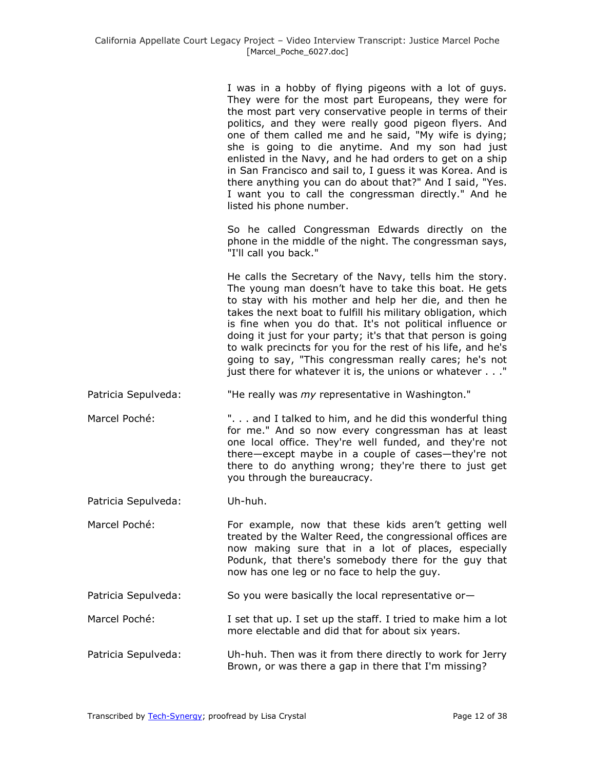| I was in a hobby of flying pigeons with a lot of guys.     |
|------------------------------------------------------------|
| They were for the most part Europeans, they were for       |
| the most part very conservative people in terms of their   |
| politics, and they were really good pigeon flyers. And     |
| one of them called me and he said, "My wife is dying;      |
| she is going to die anytime. And my son had just           |
| enlisted in the Navy, and he had orders to get on a ship   |
| in San Francisco and sail to, I guess it was Korea. And is |
| there anything you can do about that?" And I said, "Yes.   |
| I want you to call the congressman directly." And he       |
| listed his phone number.                                   |

So he called Congressman Edwards directly on the phone in the middle of the night. The congressman says, "I'll call you back."

He calls the Secretary of the Navy, tells him the story. The young man doesn't have to take this boat. He gets to stay with his mother and help her die, and then he takes the next boat to fulfill his military obligation, which is fine when you do that. It's not political influence or doing it just for your party; it's that that person is going to walk precincts for you for the rest of his life, and he's going to say, "This congressman really cares; he's not just there for whatever it is, the unions or whatever . . ."

Patricia Sepulveda: "He really was *my* representative in Washington."

Marcel Poché: ". . . and I talked to him, and he did this wonderful thing for me." And so now every congressman has at least one local office. They're well funded, and they're not there—except maybe in a couple of cases—they're not there to do anything wrong; they're there to just get you through the bureaucracy.

Patricia Sepulveda: Uh-huh.

Marcel Poché: For example, now that these kids aren't getting well treated by the Walter Reed, the congressional offices are now making sure that in a lot of places, especially Podunk, that there's somebody there for the guy that now has one leg or no face to help the guy.

Patricia Sepulveda: So you were basically the local representative or-

- Marcel Poché: I set that up. I set up the staff. I tried to make him a lot more electable and did that for about six years.
- Patricia Sepulveda: Uh-huh. Then was it from there directly to work for Jerry Brown, or was there a gap in there that I'm missing?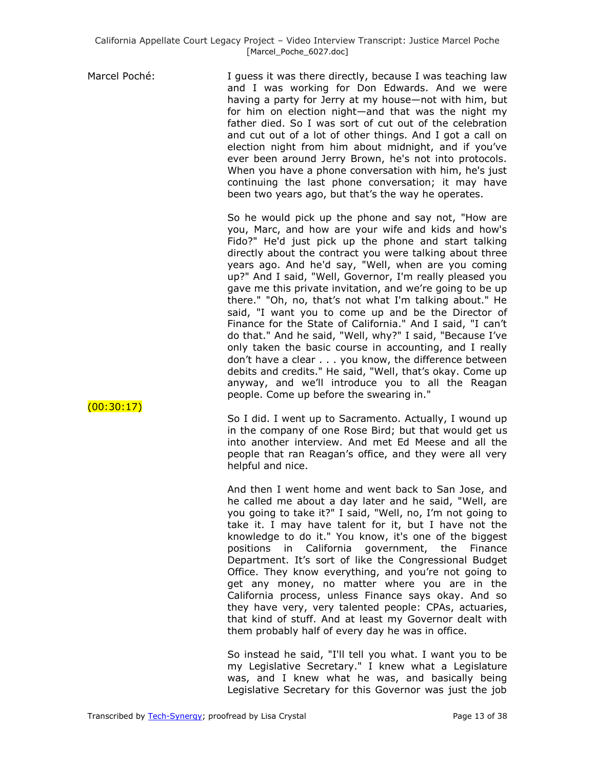Marcel Poché: I guess it was there directly, because I was teaching law and I was working for Don Edwards. And we were having a party for Jerry at my house—not with him, but for him on election night—and that was the night my father died. So I was sort of cut out of the celebration and cut out of a lot of other things. And I got a call on election night from him about midnight, and if you've ever been around Jerry Brown, he's not into protocols. When you have a phone conversation with him, he's just continuing the last phone conversation; it may have been two years ago, but that's the way he operates.

> So he would pick up the phone and say not, "How are you, Marc, and how are your wife and kids and how's Fido?" He'd just pick up the phone and start talking directly about the contract you were talking about three years ago. And he'd say, "Well, when are you coming up?" And I said, "Well, Governor, I'm really pleased you gave me this private invitation, and we're going to be up there." "Oh, no, that's not what I'm talking about." He said, "I want you to come up and be the Director of Finance for the State of California." And I said, "I can't do that." And he said, "Well, why?" I said, "Because I've only taken the basic course in accounting, and I really don't have a clear . . . you know, the difference between debits and credits." He said, "Well, that's okay. Come up anyway, and we'll introduce you to all the Reagan people. Come up before the swearing in."

> So I did. I went up to Sacramento. Actually, I wound up in the company of one Rose Bird; but that would get us into another interview. And met Ed Meese and all the people that ran Reagan's office, and they were all very helpful and nice.

> And then I went home and went back to San Jose, and he called me about a day later and he said, "Well, are you going to take it?" I said, "Well, no, I'm not going to take it. I may have talent for it, but I have not the knowledge to do it." You know, it's one of the biggest positions in California government, the Finance Department. It's sort of like the Congressional Budget Office. They know everything, and you're not going to get any money, no matter where you are in the California process, unless Finance says okay. And so they have very, very talented people: CPAs, actuaries, that kind of stuff. And at least my Governor dealt with them probably half of every day he was in office.

> So instead he said, "I'll tell you what. I want you to be my Legislative Secretary." I knew what a Legislature was, and I knew what he was, and basically being Legislative Secretary for this Governor was just the job

 $(00:30:17)$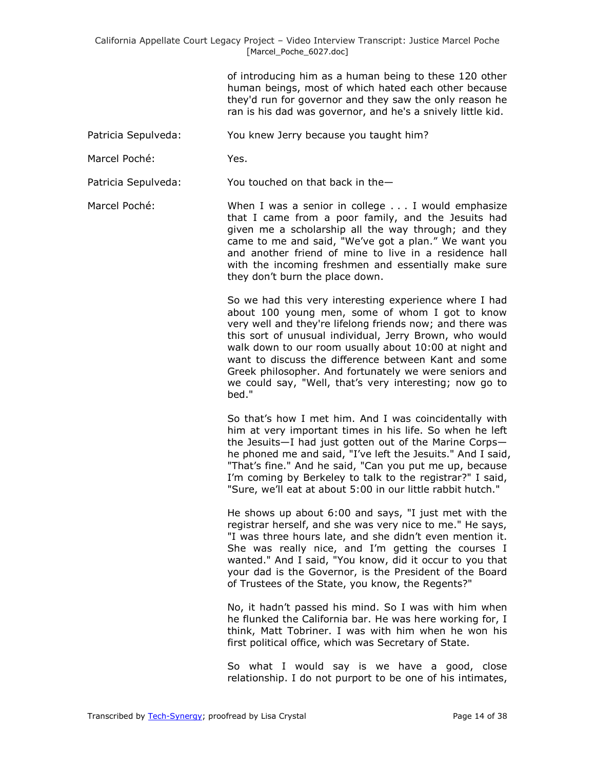of introducing him as a human being to these 120 other human beings, most of which hated each other because they'd run for governor and they saw the only reason he ran is his dad was governor, and he's a snively little kid.

- Patricia Sepulveda: You knew Jerry because you taught him?
- Marcel Poché: Yes.

Patricia Sepulveda: You touched on that back in the—

Marcel Poché: When I was a senior in college . . . I would emphasize that I came from a poor family, and the Jesuits had given me a scholarship all the way through; and they came to me and said, "We've got a plan." We want you and another friend of mine to live in a residence hall with the incoming freshmen and essentially make sure they don't burn the place down.

> So we had this very interesting experience where I had about 100 young men, some of whom I got to know very well and they're lifelong friends now; and there was this sort of unusual individual, Jerry Brown, who would walk down to our room usually about 10:00 at night and want to discuss the difference between Kant and some Greek philosopher. And fortunately we were seniors and we could say, "Well, that's very interesting; now go to bed."

> So that's how I met him. And I was coincidentally with him at very important times in his life. So when he left the Jesuits—I had just gotten out of the Marine Corps he phoned me and said, "I've left the Jesuits." And I said, "That's fine." And he said, "Can you put me up, because I'm coming by Berkeley to talk to the registrar?" I said, "Sure, we'll eat at about 5:00 in our little rabbit hutch."

> He shows up about 6:00 and says, "I just met with the registrar herself, and she was very nice to me." He says, "I was three hours late, and she didn't even mention it. She was really nice, and I'm getting the courses I wanted." And I said, "You know, did it occur to you that your dad is the Governor, is the President of the Board of Trustees of the State, you know, the Regents?"

> No, it hadn't passed his mind. So I was with him when he flunked the California bar. He was here working for, I think, Matt Tobriner. I was with him when he won his first political office, which was Secretary of State.

> So what I would say is we have a good, close relationship. I do not purport to be one of his intimates,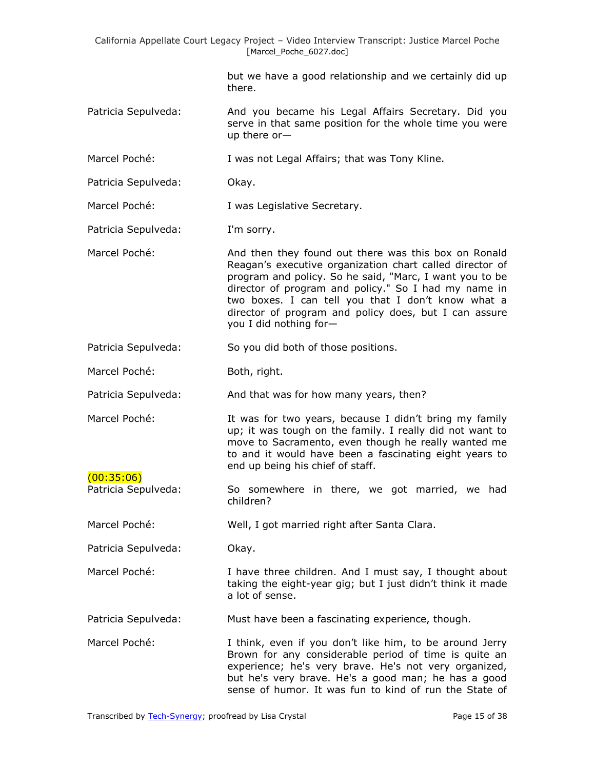but we have a good relationship and we certainly did up there.

- Patricia Sepulveda: And you became his Legal Affairs Secretary. Did you serve in that same position for the whole time you were up there or—
- Marcel Poché: I was not Legal Affairs; that was Tony Kline.
- Patricia Sepulveda: Okay.

Marcel Poché: I was Legislative Secretary.

Patricia Sepulveda: I'm sorry.

- Marcel Poché: And then they found out there was this box on Ronald Reagan's executive organization chart called director of program and policy. So he said, "Marc, I want you to be director of program and policy." So I had my name in two boxes. I can tell you that I don't know what a director of program and policy does, but I can assure you I did nothing for—
- Patricia Sepulveda: So you did both of those positions.
- Marcel Poché: Both, right.
- Patricia Sepulveda: And that was for how many years, then?
- 

Marcel Poché: It was for two years, because I didn't bring my family up; it was tough on the family. I really did not want to move to Sacramento, even though he really wanted me to and it would have been a fascinating eight years to end up being his chief of staff.  $(00:35:06)$ 

Patricia Sepulveda: So somewhere in there, we got married, we had children?

Marcel Poché: Well, I got married right after Santa Clara.

Patricia Sepulveda: Okay.

Marcel Poché: I have three children. And I must say, I thought about taking the eight-year gig; but I just didn't think it made a lot of sense.

Patricia Sepulveda: Must have been a fascinating experience, though.

Marcel Poché: I think, even if you don't like him, to be around Jerry Brown for any considerable period of time is quite an experience; he's very brave. He's not very organized, but he's very brave. He's a good man; he has a good sense of humor. It was fun to kind of run the State of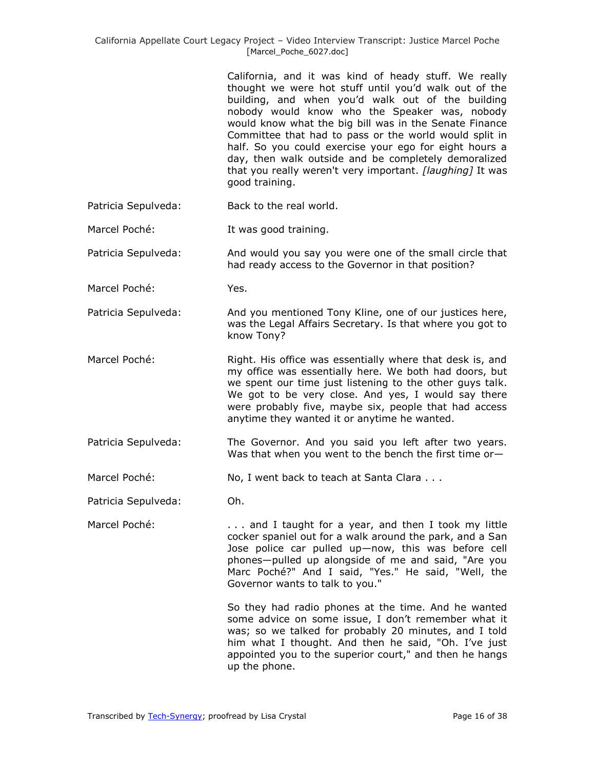California, and it was kind of heady stuff. We really thought we were hot stuff until you'd walk out of the building, and when you'd walk out of the building nobody would know who the Speaker was, nobody would know what the big bill was in the Senate Finance Committee that had to pass or the world would split in half. So you could exercise your ego for eight hours a day, then walk outside and be completely demoralized that you really weren't very important. *[laughing]* It was good training.

- Patricia Sepulveda: Back to the real world.
- Marcel Poché: It was good training.

Patricia Sepulveda: And would you say you were one of the small circle that had ready access to the Governor in that position?

Marcel Poché: Yes.

Patricia Sepulveda: And you mentioned Tony Kline, one of our justices here, was the Legal Affairs Secretary. Is that where you got to know Tony?

Marcel Poché: Right. His office was essentially where that desk is, and my office was essentially here. We both had doors, but we spent our time just listening to the other guys talk. We got to be very close. And yes, I would say there were probably five, maybe six, people that had access anytime they wanted it or anytime he wanted.

- Patricia Sepulveda: The Governor. And you said you left after two years. Was that when you went to the bench the first time or-
- Marcel Poché: No, I went back to teach at Santa Clara . . .

Patricia Sepulveda: Oh.

Marcel Poché: . . . . . . . . . and I taught for a year, and then I took my little cocker spaniel out for a walk around the park, and a San Jose police car pulled up—now, this was before cell phones—pulled up alongside of me and said, "Are you Marc Poché?" And I said, "Yes." He said, "Well, the Governor wants to talk to you."

> So they had radio phones at the time. And he wanted some advice on some issue, I don't remember what it was; so we talked for probably 20 minutes, and I told him what I thought. And then he said, "Oh. I've just appointed you to the superior court," and then he hangs up the phone.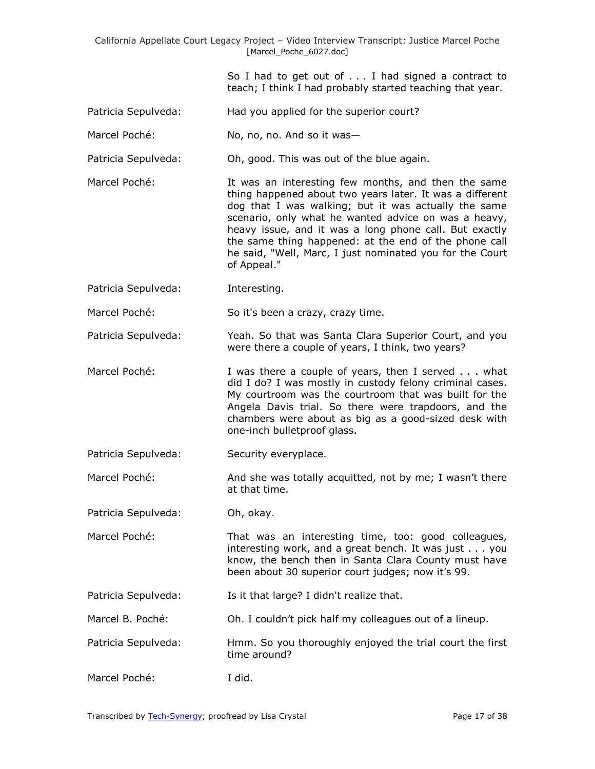So I had to get out of . . . I had signed a contract to teach; I think I had probably started teaching that year.

- Patricia Sepulveda: Had you applied for the superior court?
- Marcel Poché: No, no, no. And so it was-
- Patricia Sepulveda: Oh, good. This was out of the blue again.
- Marcel Poché: It was an interesting few months, and then the same thing happened about two years later. It was a different dog that I was walking; but it was actually the same scenario, only what he wanted advice on was a heavy, heavy issue, and it was a long phone call. But exactly the same thing happened: at the end of the phone call he said, "Well, Marc, I just nominated you for the Court of Appeal."
- Patricia Sepulveda: Interesting.

Marcel Poché: So it's been a crazy, crazy time.

- Patricia Sepulveda: Yeah. So that was Santa Clara Superior Court, and you were there a couple of years, I think, two years?
- Marcel Poché: I was there a couple of years, then I served . . . what did I do? I was mostly in custody felony criminal cases. My courtroom was the courtroom that was built for the Angela Davis trial. So there were trapdoors, and the chambers were about as big as a good-sized desk with one-inch bulletproof glass.
- Patricia Sepulveda: Security everyplace.
- Marcel Poché: And she was totally acquitted, not by me; I wasn't there at that time.

Patricia Sepulveda: Oh, okay.

- Marcel Poché: That was an interesting time, too: good colleagues, interesting work, and a great bench. It was just . . . you know, the bench then in Santa Clara County must have been about 30 superior court judges; now it's 99.
- Patricia Sepulveda: Is it that large? I didn't realize that.
- Marcel B. Poché: Oh. I couldn't pick half my colleagues out of a lineup.
- Patricia Sepulveda: Hmm. So you thoroughly enjoyed the trial court the first time around?
- Marcel Poché: I did.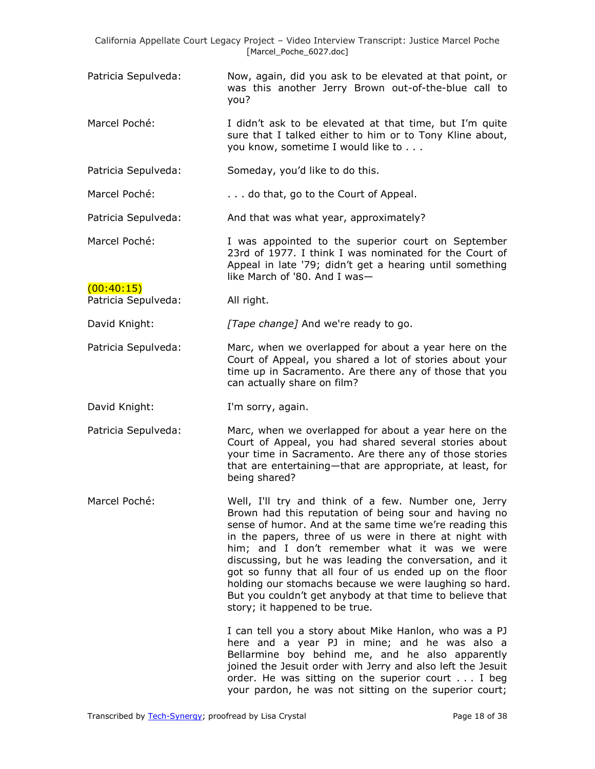- Patricia Sepulveda: Now, again, did you ask to be elevated at that point, or was this another Jerry Brown out-of-the-blue call to you?
- Marcel Poché: I didn't ask to be elevated at that time, but I'm quite sure that I talked either to him or to Tony Kline about, you know, sometime I would like to . . .
- Patricia Sepulveda: Someday, you'd like to do this.
- Marcel Poché: . . . . . . . . . . . . do that, go to the Court of Appeal.
- Patricia Sepulveda: And that was what year, approximately?
- Marcel Poché: I was appointed to the superior court on September 23rd of 1977. I think I was nominated for the Court of Appeal in late '79; didn't get a hearing until something like March of '80. And I was—  $(00:40:15)$
- Patricia Sepulveda: All right.

David Knight: *[Tape change]* And we're ready to go.

- Patricia Sepulveda: Marc, when we overlapped for about a year here on the Court of Appeal, you shared a lot of stories about your time up in Sacramento. Are there any of those that you can actually share on film?
- David Knight: I'm sorry, again.
- Patricia Sepulveda: Marc, when we overlapped for about a year here on the Court of Appeal, you had shared several stories about your time in Sacramento. Are there any of those stories that are entertaining—that are appropriate, at least, for being shared?
- Marcel Poché: Well, I'll try and think of a few. Number one, Jerry Brown had this reputation of being sour and having no sense of humor. And at the same time we're reading this in the papers, three of us were in there at night with him; and I don't remember what it was we were discussing, but he was leading the conversation, and it got so funny that all four of us ended up on the floor holding our stomachs because we were laughing so hard. But you couldn't get anybody at that time to believe that story; it happened to be true.

I can tell you a story about Mike Hanlon, who was a PJ here and a year PJ in mine; and he was also a Bellarmine boy behind me, and he also apparently joined the Jesuit order with Jerry and also left the Jesuit order. He was sitting on the superior court . . . I beg your pardon, he was not sitting on the superior court;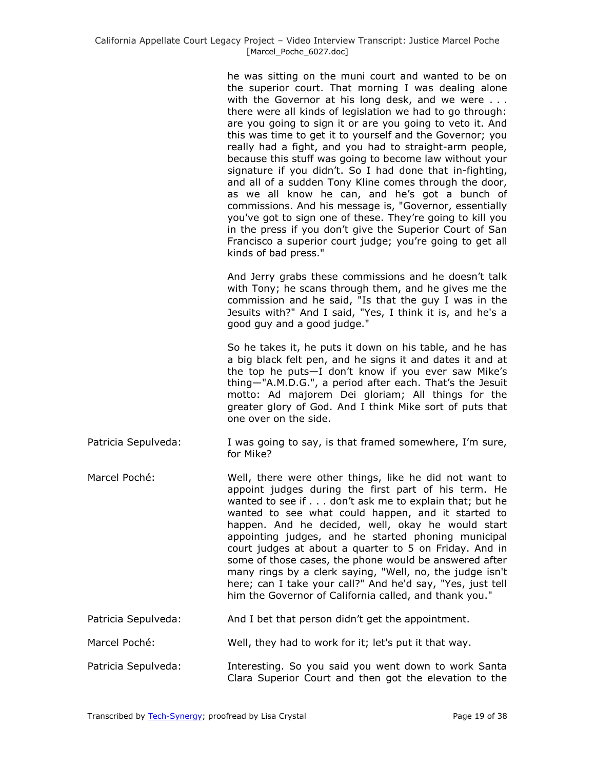he was sitting on the muni court and wanted to be on the superior court. That morning I was dealing alone with the Governor at his long desk, and we were ... there were all kinds of legislation we had to go through: are you going to sign it or are you going to veto it. And this was time to get it to yourself and the Governor; you really had a fight, and you had to straight-arm people, because this stuff was going to become law without your signature if you didn't. So I had done that in-fighting, and all of a sudden Tony Kline comes through the door, as we all know he can, and he's got a bunch of commissions. And his message is, "Governor, essentially you've got to sign one of these. They're going to kill you in the press if you don't give the Superior Court of San Francisco a superior court judge; you're going to get all kinds of bad press."

And Jerry grabs these commissions and he doesn't talk with Tony; he scans through them, and he gives me the commission and he said, "Is that the guy I was in the Jesuits with?" And I said, "Yes, I think it is, and he's a good guy and a good judge."

So he takes it, he puts it down on his table, and he has a big black felt pen, and he signs it and dates it and at the top he puts—I don't know if you ever saw Mike's thing—"A.M.D.G.", a period after each. That's the Jesuit motto: Ad majorem Dei gloriam; All things for the greater glory of God. And I think Mike sort of puts that one over on the side.

- Patricia Sepulveda: I was going to say, is that framed somewhere, I'm sure, for Mike?
- Marcel Poché: Well, there were other things, like he did not want to appoint judges during the first part of his term. He wanted to see if . . . don't ask me to explain that; but he wanted to see what could happen, and it started to happen. And he decided, well, okay he would start appointing judges, and he started phoning municipal court judges at about a quarter to 5 on Friday. And in some of those cases, the phone would be answered after many rings by a clerk saying, "Well, no, the judge isn't here; can I take your call?" And he'd say, "Yes, just tell him the Governor of California called, and thank you."

## Patricia Sepulveda: And I bet that person didn't get the appointment.

- Marcel Poché: Well, they had to work for it; let's put it that way.
- Patricia Sepulveda: Interesting. So you said you went down to work Santa Clara Superior Court and then got the elevation to the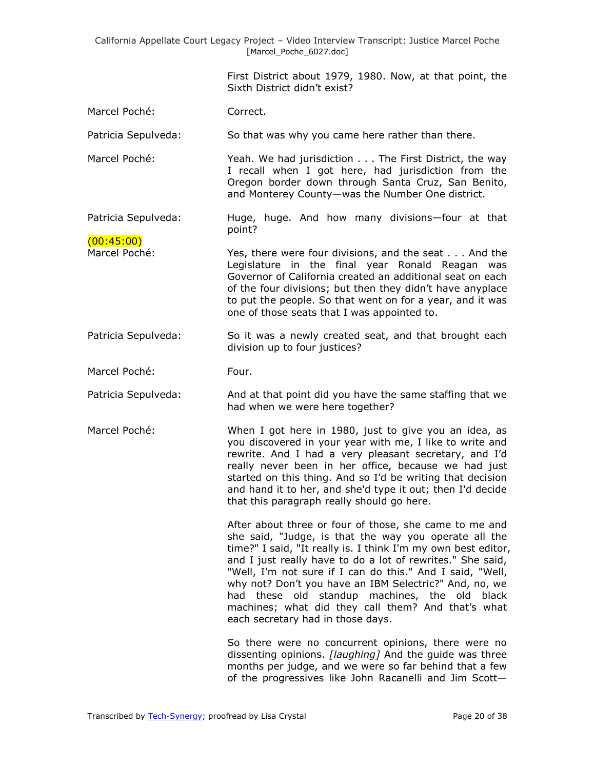> First District about 1979, 1980. Now, at that point, the Sixth District didn't exist?

Marcel Poché: Correct.

Patricia Sepulveda: So that was why you came here rather than there.

Marcel Poché: Yeah. We had jurisdiction . . . The First District, the way I recall when I got here, had jurisdiction from the Oregon border down through Santa Cruz, San Benito, and Monterey County—was the Number One district.

Patricia Sepulveda: Huge, huge. And how many divisions—four at that point?

 $(00:45:00)$ 

- Marcel Poché: Yes, there were four divisions, and the seat . . . And the Legislature in the final year Ronald Reagan was Governor of California created an additional seat on each of the four divisions; but then they didn't have anyplace to put the people. So that went on for a year, and it was one of those seats that I was appointed to.
- Patricia Sepulveda: So it was a newly created seat, and that brought each division up to four justices?
- Marcel Poché: Four.
- Patricia Sepulveda: And at that point did you have the same staffing that we had when we were here together?
- Marcel Poché: When I got here in 1980, just to give you an idea, as you discovered in your year with me, I like to write and rewrite. And I had a very pleasant secretary, and I'd really never been in her office, because we had just started on this thing. And so I'd be writing that decision and hand it to her, and she'd type it out; then I'd decide that this paragraph really should go here.

After about three or four of those, she came to me and she said, "Judge, is that the way you operate all the time?" I said, "It really is. I think I'm my own best editor, and I just really have to do a lot of rewrites." She said, "Well, I'm not sure if I can do this." And I said, "Well, why not? Don't you have an IBM Selectric?" And, no, we had these old standup machines, the old black machines; what did they call them? And that's what each secretary had in those days.

So there were no concurrent opinions, there were no dissenting opinions. *[laughing]* And the guide was three months per judge, and we were so far behind that a few of the progressives like John Racanelli and Jim Scott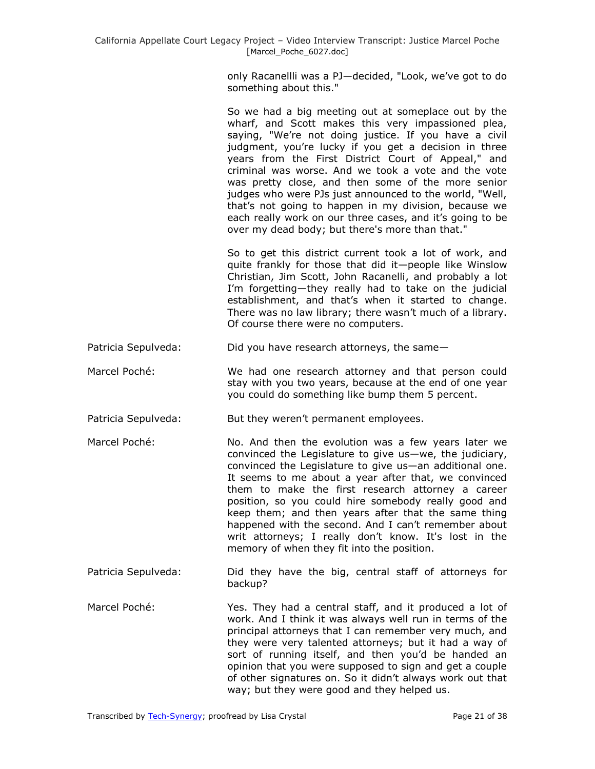only Racanellli was a PJ—decided, "Look, we've got to do something about this."

So we had a big meeting out at someplace out by the wharf, and Scott makes this very impassioned plea, saying, "We're not doing justice. If you have a civil judgment, you're lucky if you get a decision in three years from the First District Court of Appeal," and criminal was worse. And we took a vote and the vote was pretty close, and then some of the more senior judges who were PJs just announced to the world, "Well, that's not going to happen in my division, because we each really work on our three cases, and it's going to be over my dead body; but there's more than that."

So to get this district current took a lot of work, and quite frankly for those that did it—people like Winslow Christian, Jim Scott, John Racanelli, and probably a lot I'm forgetting—they really had to take on the judicial establishment, and that's when it started to change. There was no law library; there wasn't much of a library. Of course there were no computers.

- Patricia Sepulveda: Did you have research attorneys, the same-
- Marcel Poché: We had one research attorney and that person could stay with you two years, because at the end of one year you could do something like bump them 5 percent.
- Patricia Sepulveda: But they weren't permanent employees.
- Marcel Poché: No. And then the evolution was a few years later we convinced the Legislature to give us—we, the judiciary, convinced the Legislature to give us—an additional one. It seems to me about a year after that, we convinced them to make the first research attorney a career position, so you could hire somebody really good and keep them; and then years after that the same thing happened with the second. And I can't remember about writ attorneys; I really don't know. It's lost in the memory of when they fit into the position.
- Patricia Sepulveda: Did they have the big, central staff of attorneys for backup?
- Marcel Poché: Yes. They had a central staff, and it produced a lot of work. And I think it was always well run in terms of the principal attorneys that I can remember very much, and they were very talented attorneys; but it had a way of sort of running itself, and then you'd be handed an opinion that you were supposed to sign and get a couple of other signatures on. So it didn't always work out that way; but they were good and they helped us.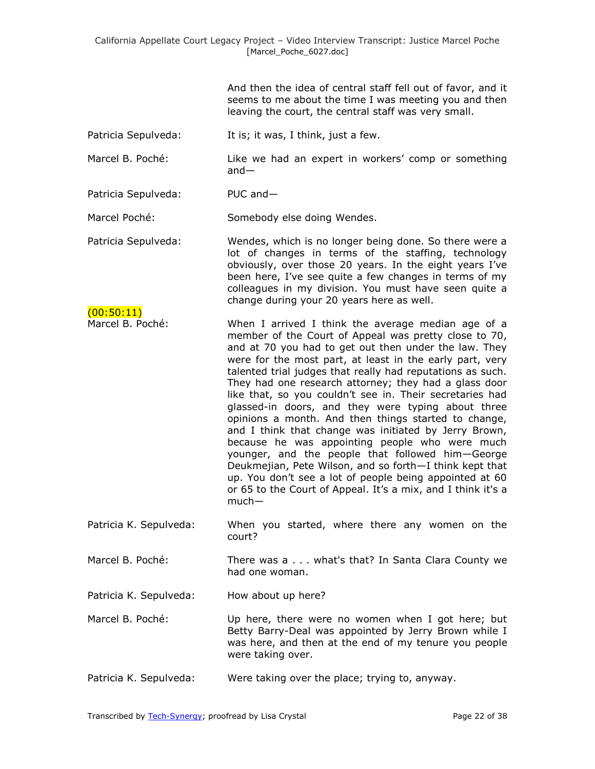|                                | And then the idea of central staff fell out of favor, and it<br>seems to me about the time I was meeting you and then<br>leaving the court, the central staff was very small.                                                                                                                                                                                                                                                                                                                                                                                                                                                                                                                                                                                                                                                                                                                     |
|--------------------------------|---------------------------------------------------------------------------------------------------------------------------------------------------------------------------------------------------------------------------------------------------------------------------------------------------------------------------------------------------------------------------------------------------------------------------------------------------------------------------------------------------------------------------------------------------------------------------------------------------------------------------------------------------------------------------------------------------------------------------------------------------------------------------------------------------------------------------------------------------------------------------------------------------|
| Patricia Sepulveda:            | It is; it was, I think, just a few.                                                                                                                                                                                                                                                                                                                                                                                                                                                                                                                                                                                                                                                                                                                                                                                                                                                               |
| Marcel B. Poché:               | Like we had an expert in workers' comp or something<br>$and -$                                                                                                                                                                                                                                                                                                                                                                                                                                                                                                                                                                                                                                                                                                                                                                                                                                    |
| Patricia Sepulveda:            | PUC and-                                                                                                                                                                                                                                                                                                                                                                                                                                                                                                                                                                                                                                                                                                                                                                                                                                                                                          |
| Marcel Poché:                  | Somebody else doing Wendes.                                                                                                                                                                                                                                                                                                                                                                                                                                                                                                                                                                                                                                                                                                                                                                                                                                                                       |
| Patricia Sepulveda:            | Wendes, which is no longer being done. So there were a<br>lot of changes in terms of the staffing, technology<br>obviously, over those 20 years. In the eight years I've<br>been here, I've see quite a few changes in terms of my<br>colleagues in my division. You must have seen quite a<br>change during your 20 years here as well.                                                                                                                                                                                                                                                                                                                                                                                                                                                                                                                                                          |
| (00:50:11)<br>Marcel B. Poché: | When I arrived I think the average median age of a<br>member of the Court of Appeal was pretty close to 70,<br>and at 70 you had to get out then under the law. They<br>were for the most part, at least in the early part, very<br>talented trial judges that really had reputations as such.<br>They had one research attorney; they had a glass door<br>like that, so you couldn't see in. Their secretaries had<br>glassed-in doors, and they were typing about three<br>opinions a month. And then things started to change,<br>and I think that change was initiated by Jerry Brown,<br>because he was appointing people who were much<br>younger, and the people that followed him-George<br>Deukmejian, Pete Wilson, and so forth-I think kept that<br>up. You don't see a lot of people being appointed at 60<br>or 65 to the Court of Appeal. It's a mix, and I think it's a<br>$much-$ |
| Patricia K. Sepulveda:         | When you started, where there any women on the<br>court?                                                                                                                                                                                                                                                                                                                                                                                                                                                                                                                                                                                                                                                                                                                                                                                                                                          |
| Marcel B. Poché:               | There was a what's that? In Santa Clara County we<br>had one woman.                                                                                                                                                                                                                                                                                                                                                                                                                                                                                                                                                                                                                                                                                                                                                                                                                               |
| Patricia K. Sepulveda:         | How about up here?                                                                                                                                                                                                                                                                                                                                                                                                                                                                                                                                                                                                                                                                                                                                                                                                                                                                                |

- Marcel B. Poché: Up here, there were no women when I got here; but Betty Barry-Deal was appointed by Jerry Brown while I was here, and then at the end of my tenure you people were taking over.
- Patricia K. Sepulveda: Were taking over the place; trying to, anyway.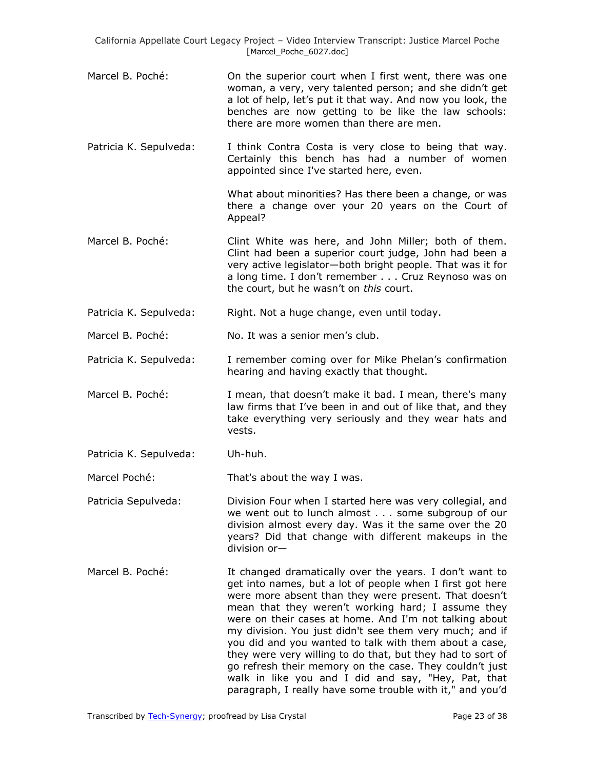- Marcel B. Poché: On the superior court when I first went, there was one woman, a very, very talented person; and she didn't get a lot of help, let's put it that way. And now you look, the benches are now getting to be like the law schools: there are more women than there are men.
- Patricia K. Sepulveda: I think Contra Costa is very close to being that way. Certainly this bench has had a number of women appointed since I've started here, even.

What about minorities? Has there been a change, or was there a change over your 20 years on the Court of Appeal?

- Marcel B. Poché: Clint White was here, and John Miller; both of them. Clint had been a superior court judge, John had been a very active legislator—both bright people. That was it for a long time. I don't remember . . . Cruz Reynoso was on the court, but he wasn't on *this* court.
- Patricia K. Sepulveda: Right. Not a huge change, even until today.

Marcel B. Poché: No. It was a senior men's club.

- Patricia K. Sepulveda: I remember coming over for Mike Phelan's confirmation hearing and having exactly that thought.
- Marcel B. Poché: I mean, that doesn't make it bad. I mean, there's many law firms that I've been in and out of like that, and they take everything very seriously and they wear hats and vests.
- Patricia K. Sepulveda: Uh-huh.

Marcel Poché: That's about the way I was.

- Patricia Sepulveda: Division Four when I started here was very collegial, and we went out to lunch almost . . . some subgroup of our division almost every day. Was it the same over the 20 years? Did that change with different makeups in the division or—
- Marcel B. Poché: It changed dramatically over the years. I don't want to get into names, but a lot of people when I first got here were more absent than they were present. That doesn't mean that they weren't working hard; I assume they were on their cases at home. And I'm not talking about my division. You just didn't see them very much; and if you did and you wanted to talk with them about a case, they were very willing to do that, but they had to sort of go refresh their memory on the case. They couldn't just walk in like you and I did and say, "Hey, Pat, that paragraph, I really have some trouble with it," and you'd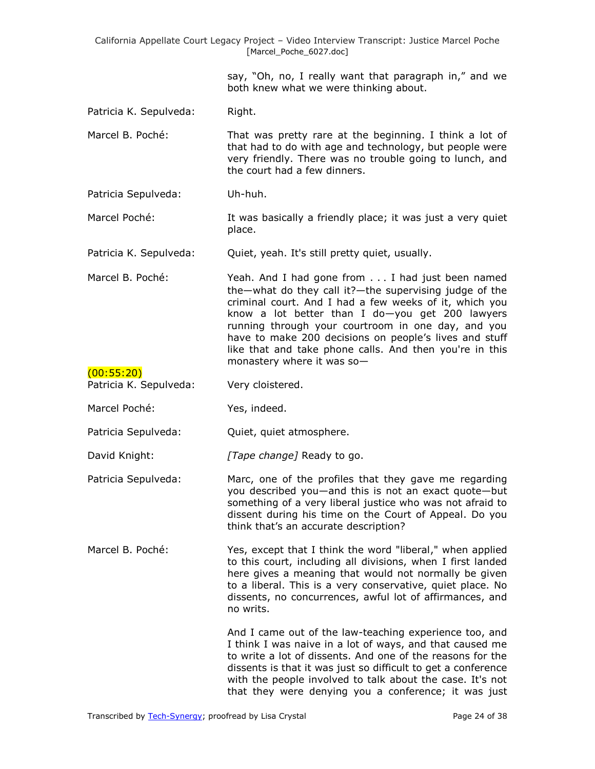| California Appellate Court Legacy Project - Video Interview Transcript: Justice Marcel Poche<br>[Marcel_Poche_6027.doc] |                                                                                                                                                                                                                                                                                                                                                                                                                                 |  |
|-------------------------------------------------------------------------------------------------------------------------|---------------------------------------------------------------------------------------------------------------------------------------------------------------------------------------------------------------------------------------------------------------------------------------------------------------------------------------------------------------------------------------------------------------------------------|--|
|                                                                                                                         | say, "Oh, no, I really want that paragraph in," and we<br>both knew what we were thinking about.                                                                                                                                                                                                                                                                                                                                |  |
| Patricia K. Sepulveda:                                                                                                  | Right.                                                                                                                                                                                                                                                                                                                                                                                                                          |  |
| Marcel B. Poché:                                                                                                        | That was pretty rare at the beginning. I think a lot of<br>that had to do with age and technology, but people were<br>very friendly. There was no trouble going to lunch, and<br>the court had a few dinners.                                                                                                                                                                                                                   |  |
| Patricia Sepulveda:                                                                                                     | Uh-huh.                                                                                                                                                                                                                                                                                                                                                                                                                         |  |
| Marcel Poché:                                                                                                           | It was basically a friendly place; it was just a very quiet<br>place.                                                                                                                                                                                                                                                                                                                                                           |  |
| Patricia K. Sepulveda:                                                                                                  | Quiet, yeah. It's still pretty quiet, usually.                                                                                                                                                                                                                                                                                                                                                                                  |  |
| Marcel B. Poché:                                                                                                        | Yeah. And I had gone from I had just been named<br>the-what do they call it?-the supervising judge of the<br>criminal court. And I had a few weeks of it, which you<br>know a lot better than I do-you get 200 lawyers<br>running through your courtroom in one day, and you<br>have to make 200 decisions on people's lives and stuff<br>like that and take phone calls. And then you're in this<br>monastery where it was so- |  |
| (00:55:20)<br>Patricia K. Sepulveda:                                                                                    | Very cloistered.                                                                                                                                                                                                                                                                                                                                                                                                                |  |
| Marcel Poché:                                                                                                           | Yes, indeed.                                                                                                                                                                                                                                                                                                                                                                                                                    |  |
| Patricia Sepulveda:                                                                                                     | Quiet, quiet atmosphere.                                                                                                                                                                                                                                                                                                                                                                                                        |  |
| David Knight:                                                                                                           | [Tape change] Ready to go.                                                                                                                                                                                                                                                                                                                                                                                                      |  |
| Patricia Sepulveda:                                                                                                     | Marc, one of the profiles that they gave me regarding<br>you described you-and this is not an exact quote-but<br>something of a very liberal justice who was not afraid to<br>dissent during his time on the Court of Appeal. Do you<br>think that's an accurate description?                                                                                                                                                   |  |
| Marcel B. Poché:                                                                                                        | Yes, except that I think the word "liberal," when applied<br>to this court, including all divisions, when I first landed<br>here gives a meaning that would not normally be given<br>to a liberal. This is a very conservative, quiet place. No<br>dissents, no concurrences, awful lot of affirmances, and<br>no writs.                                                                                                        |  |
|                                                                                                                         | And I came out of the law-teaching experience too, and<br>I think I was naive in a lot of ways, and that caused me<br>to write a lot of dissents. And one of the reasons for the<br>dissents is that it was just so difficult to get a conference<br>with the people involved to talk about the case. It's not<br>that they were denying you a conference; it was just                                                          |  |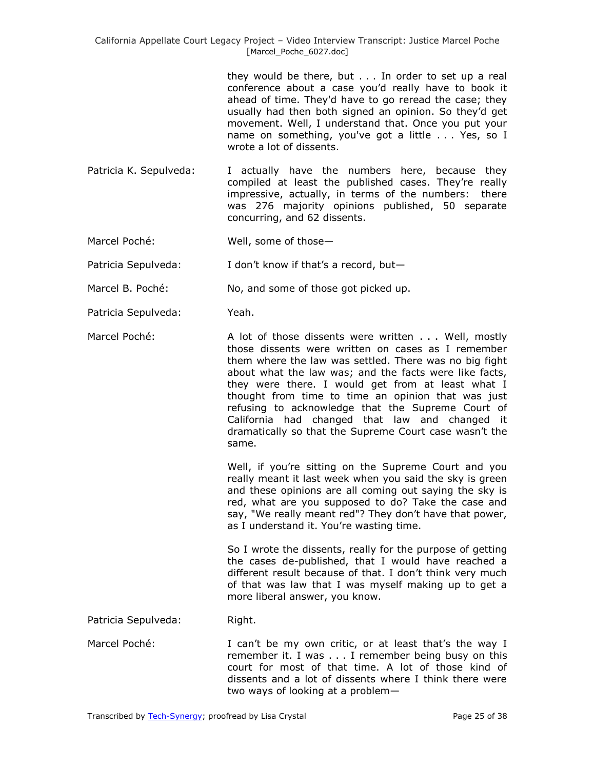they would be there, but . . . In order to set up a real conference about a case you'd really have to book it ahead of time. They'd have to go reread the case; they usually had then both signed an opinion. So they'd get movement. Well, I understand that. Once you put your name on something, you've got a little . . . Yes, so I wrote a lot of dissents.

- Patricia K. Sepulveda: I actually have the numbers here, because they compiled at least the published cases. They're really impressive, actually, in terms of the numbers: there was 276 majority opinions published, 50 separate concurring, and 62 dissents.
- Marcel Poché: Well, some of those—

Patricia Sepulveda: I don't know if that's a record, but-

Marcel B. Poché: No, and some of those got picked up.

- Patricia Sepulveda: Yeah.
- Marcel Poché: A lot of those dissents were written . . . Well, mostly those dissents were written on cases as I remember them where the law was settled. There was no big fight about what the law was; and the facts were like facts, they were there. I would get from at least what I thought from time to time an opinion that was just refusing to acknowledge that the Supreme Court of California had changed that law and changed it dramatically so that the Supreme Court case wasn't the same.

Well, if you're sitting on the Supreme Court and you really meant it last week when you said the sky is green and these opinions are all coming out saying the sky is red, what are you supposed to do? Take the case and say, "We really meant red"? They don't have that power, as I understand it. You're wasting time.

So I wrote the dissents, really for the purpose of getting the cases de-published, that I would have reached a different result because of that. I don't think very much of that was law that I was myself making up to get a more liberal answer, you know.

Patricia Sepulveda: Right.

Marcel Poché: I can't be my own critic, or at least that's the way I remember it. I was . . . I remember being busy on this court for most of that time. A lot of those kind of dissents and a lot of dissents where I think there were two ways of looking at a problem—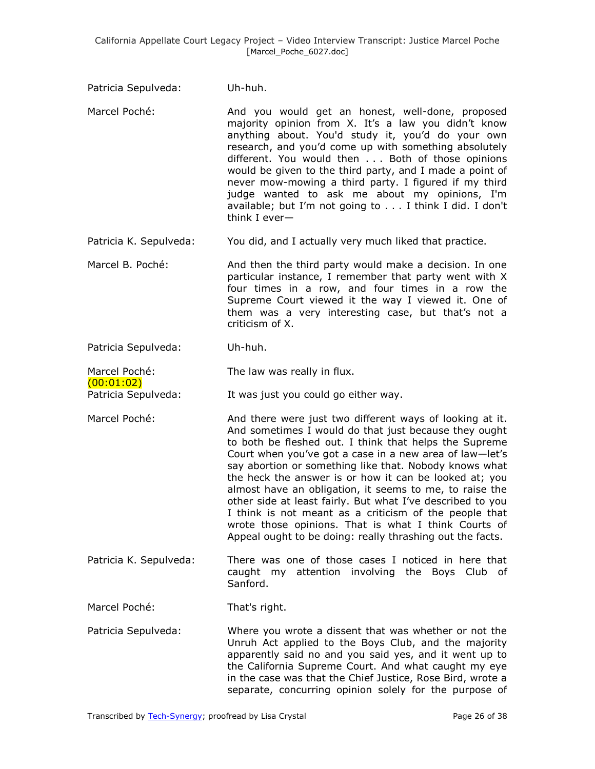- Patricia Sepulveda: Uh-huh.
- Marcel Poché: And you would get an honest, well-done, proposed majority opinion from X. It's a law you didn't know anything about. You'd study it, you'd do your own research, and you'd come up with something absolutely different. You would then . . . Both of those opinions would be given to the third party, and I made a point of never mow-mowing a third party. I figured if my third judge wanted to ask me about my opinions, I'm available; but I'm not going to . . . I think I did. I don't think I ever—
- Patricia K. Sepulveda: You did, and I actually very much liked that practice.
- Marcel B. Poché: And then the third party would make a decision. In one particular instance, I remember that party went with X four times in a row, and four times in a row the Supreme Court viewed it the way I viewed it. One of them was a very interesting case, but that's not a criticism of X.
- Patricia Sepulveda: Uh-huh.

(00:01:02)

Marcel Poché: The law was really in flux.

- Patricia Sepulveda: It was just you could go either way.
- Marcel Poché: And there were just two different ways of looking at it. And sometimes I would do that just because they ought to both be fleshed out. I think that helps the Supreme Court when you've got a case in a new area of law—let's say abortion or something like that. Nobody knows what the heck the answer is or how it can be looked at; you almost have an obligation, it seems to me, to raise the other side at least fairly. But what I've described to you I think is not meant as a criticism of the people that wrote those opinions. That is what I think Courts of Appeal ought to be doing: really thrashing out the facts.
- Patricia K. Sepulveda: There was one of those cases I noticed in here that caught my attention involving the Boys Club of Sanford.

Marcel Poché: That's right.

Patricia Sepulveda: Where you wrote a dissent that was whether or not the Unruh Act applied to the Boys Club, and the majority apparently said no and you said yes, and it went up to the California Supreme Court. And what caught my eye in the case was that the Chief Justice, Rose Bird, wrote a separate, concurring opinion solely for the purpose of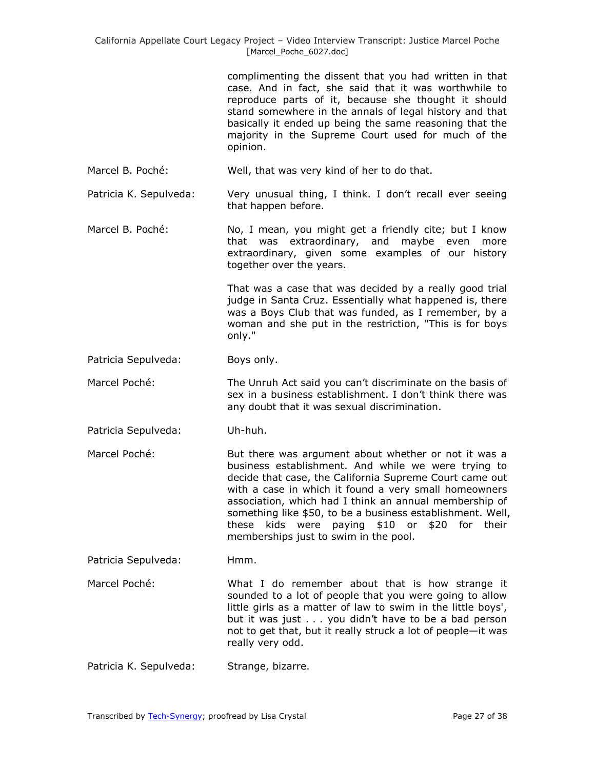complimenting the dissent that you had written in that case. And in fact, she said that it was worthwhile to reproduce parts of it, because she thought it should stand somewhere in the annals of legal history and that basically it ended up being the same reasoning that the majority in the Supreme Court used for much of the opinion.

Marcel B. Poché: Well, that was very kind of her to do that.

Patricia K. Sepulveda: Very unusual thing, I think. I don't recall ever seeing that happen before.

Marcel B. Poché: No, I mean, you might get a friendly cite; but I know that was extraordinary, and maybe even more extraordinary, given some examples of our history together over the years.

> That was a case that was decided by a really good trial judge in Santa Cruz. Essentially what happened is, there was a Boys Club that was funded, as I remember, by a woman and she put in the restriction, "This is for boys only."

- Patricia Sepulveda: Boys only.
- Marcel Poché: The Unruh Act said you can't discriminate on the basis of sex in a business establishment. I don't think there was any doubt that it was sexual discrimination.
- Patricia Sepulveda: Uh-huh.
- Marcel Poché: But there was argument about whether or not it was a business establishment. And while we were trying to decide that case, the California Supreme Court came out with a case in which it found a very small homeowners association, which had I think an annual membership of something like \$50, to be a business establishment. Well, these kids were paying \$10 or \$20 for their memberships just to swim in the pool.

Patricia Sepulveda: Hmm.

- Marcel Poché: What I do remember about that is how strange it sounded to a lot of people that you were going to allow little girls as a matter of law to swim in the little boys', but it was just . . . you didn't have to be a bad person not to get that, but it really struck a lot of people—it was really very odd.
- Patricia K. Sepulveda: Strange, bizarre.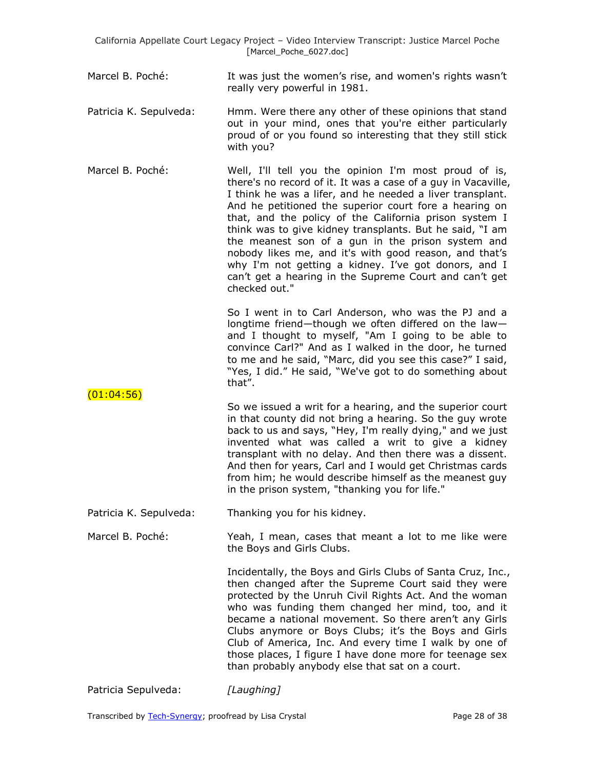- Marcel B. Poché: It was just the women's rise, and women's rights wasn't really very powerful in 1981.
- Patricia K. Sepulveda: Hmm. Were there any other of these opinions that stand out in your mind, ones that you're either particularly proud of or you found so interesting that they still stick with you?
- Marcel B. Poché: Well, I'll tell you the opinion I'm most proud of is, there's no record of it. It was a case of a guy in Vacaville, I think he was a lifer, and he needed a liver transplant. And he petitioned the superior court fore a hearing on that, and the policy of the California prison system I think was to give kidney transplants. But he said, "I am the meanest son of a gun in the prison system and nobody likes me, and it's with good reason, and that's why I'm not getting a kidney. I've got donors, and I can't get a hearing in the Supreme Court and can't get checked out."

So I went in to Carl Anderson, who was the PJ and a longtime friend—though we often differed on the law and I thought to myself, "Am I going to be able to convince Carl?" And as I walked in the door, he turned to me and he said, "Marc, did you see this case?" I said, "Yes, I did." He said, "We've got to do something about that".

So we issued a writ for a hearing, and the superior court in that county did not bring a hearing. So the guy wrote back to us and says, "Hey, I'm really dying," and we just invented what was called a writ to give a kidney transplant with no delay. And then there was a dissent. And then for years, Carl and I would get Christmas cards from him; he would describe himself as the meanest guy in the prison system, "thanking you for life."

Patricia K. Sepulveda: Thanking you for his kidney.

Marcel B. Poché: Yeah, I mean, cases that meant a lot to me like were the Boys and Girls Clubs.

> Incidentally, the Boys and Girls Clubs of Santa Cruz, Inc., then changed after the Supreme Court said they were protected by the Unruh Civil Rights Act. And the woman who was funding them changed her mind, too, and it became a national movement. So there aren't any Girls Clubs anymore or Boys Clubs; it's the Boys and Girls Club of America, Inc. And every time I walk by one of those places, I figure I have done more for teenage sex than probably anybody else that sat on a court.

Patricia Sepulveda: *[Laughing]*

 $(01:04:56)$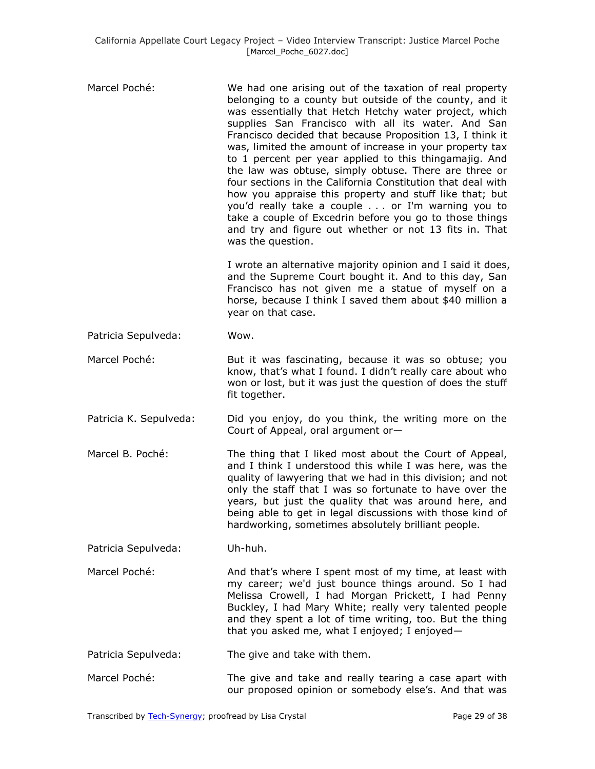| Marcel Poché:          | We had one arising out of the taxation of real property<br>belonging to a county but outside of the county, and it<br>was essentially that Hetch Hetchy water project, which<br>supplies San Francisco with all its water. And San<br>Francisco decided that because Proposition 13, I think it<br>was, limited the amount of increase in your property tax<br>to 1 percent per year applied to this thingamajig. And<br>the law was obtuse, simply obtuse. There are three or<br>four sections in the California Constitution that deal with<br>how you appraise this property and stuff like that; but<br>you'd really take a couple or I'm warning you to<br>take a couple of Excedrin before you go to those things<br>and try and figure out whether or not 13 fits in. That<br>was the question. |
|------------------------|--------------------------------------------------------------------------------------------------------------------------------------------------------------------------------------------------------------------------------------------------------------------------------------------------------------------------------------------------------------------------------------------------------------------------------------------------------------------------------------------------------------------------------------------------------------------------------------------------------------------------------------------------------------------------------------------------------------------------------------------------------------------------------------------------------|
|                        | I wrote an alternative majority opinion and I said it does,<br>and the Supreme Court bought it. And to this day, San<br>Francisco has not given me a statue of myself on a<br>horse, because I think I saved them about \$40 million a<br>year on that case.                                                                                                                                                                                                                                                                                                                                                                                                                                                                                                                                           |
| Patricia Sepulveda:    | Wow.                                                                                                                                                                                                                                                                                                                                                                                                                                                                                                                                                                                                                                                                                                                                                                                                   |
| Marcel Poché:          | But it was fascinating, because it was so obtuse; you<br>know, that's what I found. I didn't really care about who<br>won or lost, but it was just the question of does the stuff<br>fit together.                                                                                                                                                                                                                                                                                                                                                                                                                                                                                                                                                                                                     |
| Patricia K. Sepulveda: | Did you enjoy, do you think, the writing more on the<br>Court of Appeal, oral argument or-                                                                                                                                                                                                                                                                                                                                                                                                                                                                                                                                                                                                                                                                                                             |
| Marcel B. Poché:       | The thing that I liked most about the Court of Appeal,<br>and I think I understood this while I was here, was the<br>quality of lawyering that we had in this division; and not<br>only the staff that I was so fortunate to have over the<br>years, but just the quality that was around here, and<br>being able to get in legal discussions with those kind of<br>hardworking, sometimes absolutely brilliant people.                                                                                                                                                                                                                                                                                                                                                                                |
| Patricia Sepulveda:    | Uh-huh.                                                                                                                                                                                                                                                                                                                                                                                                                                                                                                                                                                                                                                                                                                                                                                                                |
| Marcel Poché:          | And that's where I spent most of my time, at least with<br>my career; we'd just bounce things around. So I had<br>Melissa Crowell, I had Morgan Prickett, I had Penny<br>Buckley, I had Mary White; really very talented people<br>and they spent a lot of time writing, too. But the thing<br>that you asked me, what I enjoyed; I enjoyed-                                                                                                                                                                                                                                                                                                                                                                                                                                                           |
| Patricia Sepulveda:    | The give and take with them.                                                                                                                                                                                                                                                                                                                                                                                                                                                                                                                                                                                                                                                                                                                                                                           |
| Marcel Poché:          | The give and take and really tearing a case apart with<br>our proposed opinion or somebody else's. And that was                                                                                                                                                                                                                                                                                                                                                                                                                                                                                                                                                                                                                                                                                        |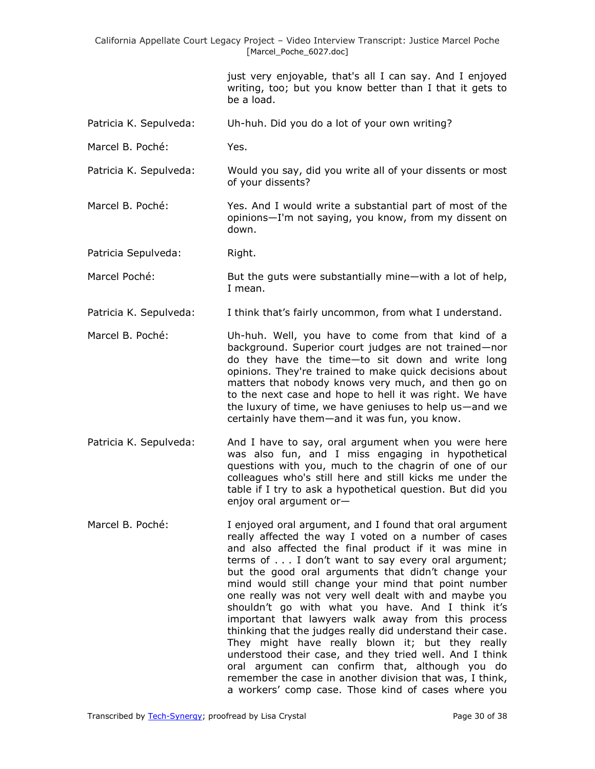just very enjoyable, that's all I can say. And I enjoyed writing, too; but you know better than I that it gets to be a load.

- Patricia K. Sepulveda: Uh-huh. Did you do a lot of your own writing?
- Marcel B. Poché: Yes.
- Patricia K. Sepulveda: Would you say, did you write all of your dissents or most of your dissents?
- Marcel B. Poché: Yes. And I would write a substantial part of most of the opinions—I'm not saying, you know, from my dissent on down.

Patricia Sepulveda: Right.

- Marcel Poché: But the guts were substantially mine—with a lot of help, I mean.
- Patricia K. Sepulveda: I think that's fairly uncommon, from what I understand.
- Marcel B. Poché: Uh-huh. Well, you have to come from that kind of a background. Superior court judges are not trained—nor do they have the time—to sit down and write long opinions. They're trained to make quick decisions about matters that nobody knows very much, and then go on to the next case and hope to hell it was right. We have the luxury of time, we have geniuses to help us—and we certainly have them—and it was fun, you know.
- Patricia K. Sepulveda: And I have to say, oral argument when you were here was also fun, and I miss engaging in hypothetical questions with you, much to the chagrin of one of our colleagues who's still here and still kicks me under the table if I try to ask a hypothetical question. But did you enjoy oral argument or—
- Marcel B. Poché: I enjoyed oral argument, and I found that oral argument really affected the way I voted on a number of cases and also affected the final product if it was mine in terms of . . . I don't want to say every oral argument; but the good oral arguments that didn't change your mind would still change your mind that point number one really was not very well dealt with and maybe you shouldn't go with what you have. And I think it's important that lawyers walk away from this process thinking that the judges really did understand their case. They might have really blown it; but they really understood their case, and they tried well. And I think oral argument can confirm that, although you do remember the case in another division that was, I think, a workers' comp case. Those kind of cases where you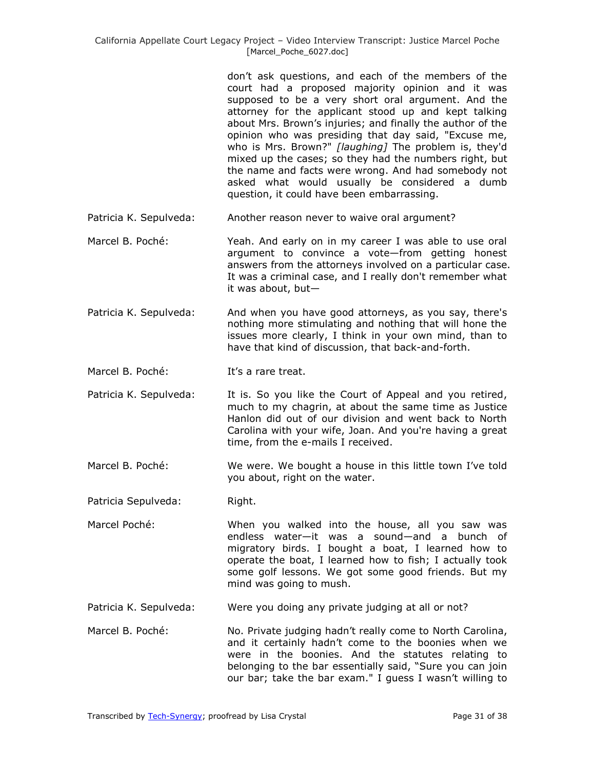don't ask questions, and each of the members of the court had a proposed majority opinion and it was supposed to be a very short oral argument. And the attorney for the applicant stood up and kept talking about Mrs. Brown's injuries; and finally the author of the opinion who was presiding that day said, "Excuse me, who is Mrs. Brown?" *[laughing]* The problem is, they'd mixed up the cases; so they had the numbers right, but the name and facts were wrong. And had somebody not asked what would usually be considered a dumb question, it could have been embarrassing.

- Patricia K. Sepulveda: Another reason never to waive oral argument?
- Marcel B. Poché: Yeah. And early on in my career I was able to use oral argument to convince a vote—from getting honest answers from the attorneys involved on a particular case. It was a criminal case, and I really don't remember what it was about, but—
- Patricia K. Sepulveda: And when you have good attorneys, as you say, there's nothing more stimulating and nothing that will hone the issues more clearly, I think in your own mind, than to have that kind of discussion, that back-and-forth.
- Marcel B. Poché: It's a rare treat.
- Patricia K. Sepulveda: It is. So you like the Court of Appeal and you retired, much to my chagrin, at about the same time as Justice Hanlon did out of our division and went back to North Carolina with your wife, Joan. And you're having a great time, from the e-mails I received.
- Marcel B. Poché: We were. We bought a house in this little town I've told you about, right on the water.

Patricia Sepulveda: Right.

- Marcel Poché: When you walked into the house, all you saw was endless water—it was a sound—and a bunch of migratory birds. I bought a boat, I learned how to operate the boat, I learned how to fish; I actually took some golf lessons. We got some good friends. But my mind was going to mush.
- Patricia K. Sepulveda: Were you doing any private judging at all or not?
- Marcel B. Poché: No. Private judging hadn't really come to North Carolina, and it certainly hadn't come to the boonies when we were in the boonies. And the statutes relating to belonging to the bar essentially said, "Sure you can join our bar; take the bar exam." I guess I wasn't willing to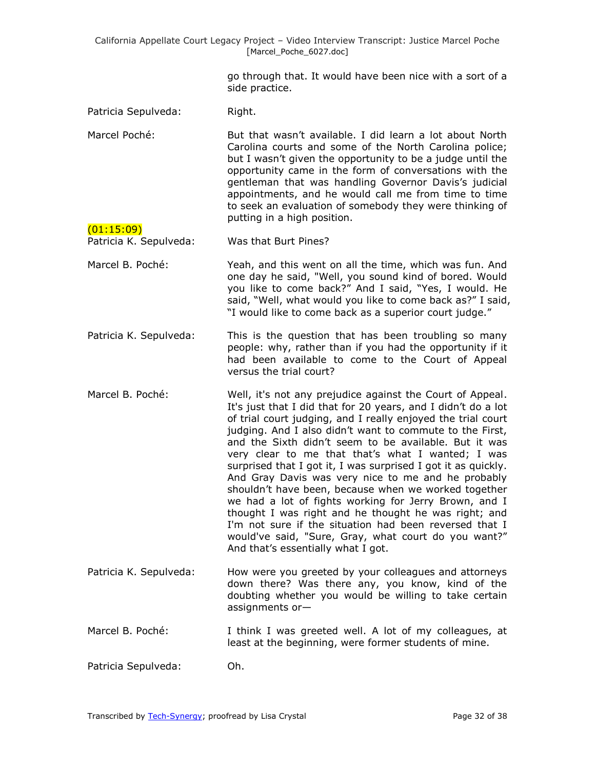> go through that. It would have been nice with a sort of a side practice.

Patricia Sepulveda: Right.

(01:15:09)

Marcel Poché: But that wasn't available. I did learn a lot about North Carolina courts and some of the North Carolina police; but I wasn't given the opportunity to be a judge until the opportunity came in the form of conversations with the gentleman that was handling Governor Davis's judicial appointments, and he would call me from time to time to seek an evaluation of somebody they were thinking of putting in a high position.

Patricia K. Sepulveda: Was that Burt Pines?

- Marcel B. Poché: Yeah, and this went on all the time, which was fun. And one day he said, "Well, you sound kind of bored. Would you like to come back?" And I said, "Yes, I would. He said, "Well, what would you like to come back as?" I said, "I would like to come back as a superior court judge."
- Patricia K. Sepulveda: This is the question that has been troubling so many people: why, rather than if you had the opportunity if it had been available to come to the Court of Appeal versus the trial court?
- Marcel B. Poché: Well, it's not any prejudice against the Court of Appeal. It's just that I did that for 20 years, and I didn't do a lot of trial court judging, and I really enjoyed the trial court judging. And I also didn't want to commute to the First, and the Sixth didn't seem to be available. But it was very clear to me that that's what I wanted; I was surprised that I got it, I was surprised I got it as quickly. And Gray Davis was very nice to me and he probably shouldn't have been, because when we worked together we had a lot of fights working for Jerry Brown, and I thought I was right and he thought he was right; and I'm not sure if the situation had been reversed that I would've said, "Sure, Gray, what court do you want?" And that's essentially what I got.
- Patricia K. Sepulveda: How were you greeted by your colleagues and attorneys down there? Was there any, you know, kind of the doubting whether you would be willing to take certain assignments or—
- Marcel B. Poché: I think I was greeted well. A lot of my colleagues, at least at the beginning, were former students of mine.

Patricia Sepulveda: Oh.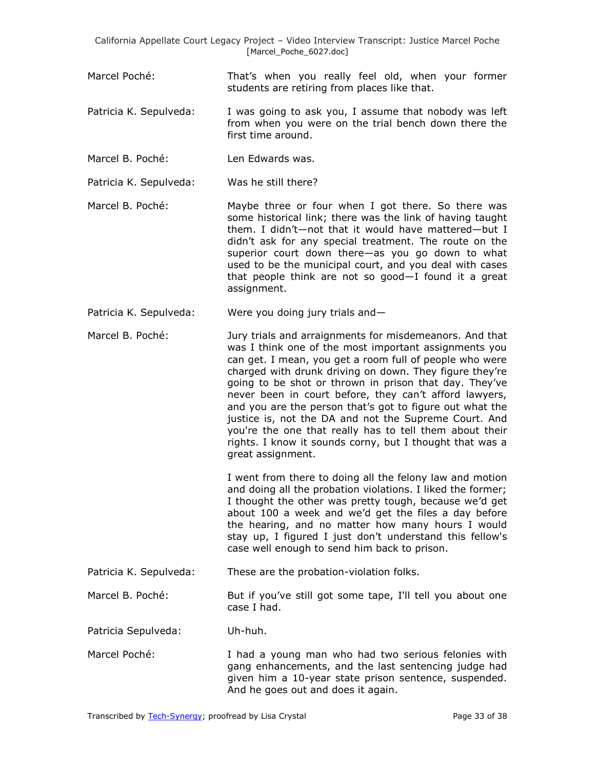- Marcel Poché: That's when you really feel old, when your former students are retiring from places like that.
- Patricia K. Sepulveda: I was going to ask you, I assume that nobody was left from when you were on the trial bench down there the first time around.
- Marcel B. Poché: Len Edwards was.
- Patricia K. Sepulveda: Was he still there?
- Marcel B. Poché: Maybe three or four when I got there. So there was some historical link; there was the link of having taught them. I didn't—not that it would have mattered—but I didn't ask for any special treatment. The route on the superior court down there—as you go down to what used to be the municipal court, and you deal with cases that people think are not so good—I found it a great assignment.
- Patricia K. Sepulveda: Were you doing jury trials and—
- Marcel B. Poché: Jury trials and arraignments for misdemeanors. And that was I think one of the most important assignments you can get. I mean, you get a room full of people who were charged with drunk driving on down. They figure they're going to be shot or thrown in prison that day. They've never been in court before, they can't afford lawyers, and you are the person that's got to figure out what the justice is, not the DA and not the Supreme Court. And you're the one that really has to tell them about their rights. I know it sounds corny, but I thought that was a great assignment.

I went from there to doing all the felony law and motion and doing all the probation violations. I liked the former; I thought the other was pretty tough, because we'd get about 100 a week and we'd get the files a day before the hearing, and no matter how many hours I would stay up, I figured I just don't understand this fellow's case well enough to send him back to prison.

Patricia K. Sepulveda: These are the probation-violation folks.

Marcel B. Poché: But if you've still got some tape, I'll tell you about one case I had.

Patricia Sepulveda: Uh-huh.

Marcel Poché: I had a young man who had two serious felonies with gang enhancements, and the last sentencing judge had given him a 10-year state prison sentence, suspended. And he goes out and does it again.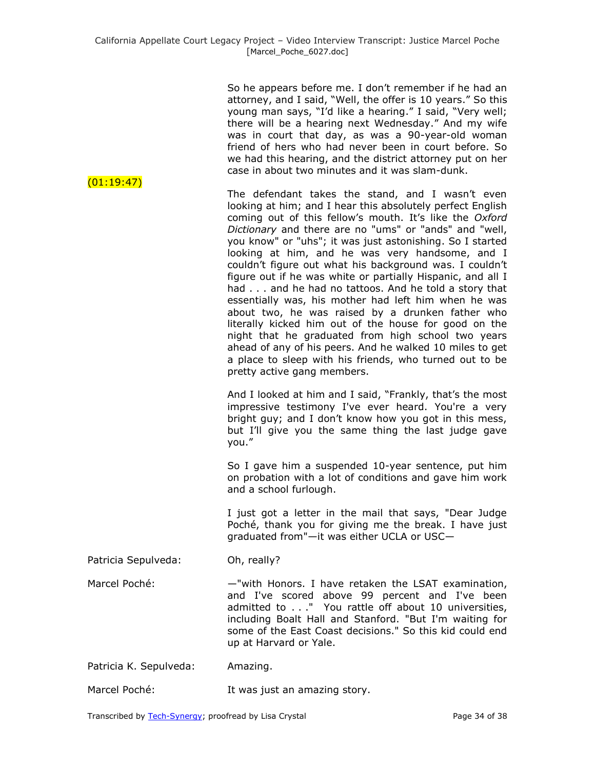| (01:19:47)             | So he appears before me. I don't remember if he had an<br>attorney, and I said, "Well, the offer is 10 years." So this<br>young man says, "I'd like a hearing." I said, "Very well;<br>there will be a hearing next Wednesday." And my wife<br>was in court that day, as was a 90-year-old woman<br>friend of hers who had never been in court before. So<br>we had this hearing, and the district attorney put on her<br>case in about two minutes and it was slam-dunk.                                                                                                                                                                                                                                                                                                                                                                                                                                             |
|------------------------|-----------------------------------------------------------------------------------------------------------------------------------------------------------------------------------------------------------------------------------------------------------------------------------------------------------------------------------------------------------------------------------------------------------------------------------------------------------------------------------------------------------------------------------------------------------------------------------------------------------------------------------------------------------------------------------------------------------------------------------------------------------------------------------------------------------------------------------------------------------------------------------------------------------------------|
|                        | The defendant takes the stand, and I wasn't even<br>looking at him; and I hear this absolutely perfect English<br>coming out of this fellow's mouth. It's like the Oxford<br>Dictionary and there are no "ums" or "ands" and "well,<br>you know" or "uhs"; it was just astonishing. So I started<br>looking at him, and he was very handsome, and I<br>couldn't figure out what his background was. I couldn't<br>figure out if he was white or partially Hispanic, and all I<br>had and he had no tattoos. And he told a story that<br>essentially was, his mother had left him when he was<br>about two, he was raised by a drunken father who<br>literally kicked him out of the house for good on the<br>night that he graduated from high school two years<br>ahead of any of his peers. And he walked 10 miles to get<br>a place to sleep with his friends, who turned out to be<br>pretty active gang members. |
|                        | And I looked at him and I said, "Frankly, that's the most<br>impressive testimony I've ever heard. You're a very<br>bright guy; and I don't know how you got in this mess,<br>but I'll give you the same thing the last judge gave<br>you."                                                                                                                                                                                                                                                                                                                                                                                                                                                                                                                                                                                                                                                                           |
|                        | So I gave him a suspended 10-year sentence, put him<br>on probation with a lot of conditions and gave him work<br>and a school furlough.                                                                                                                                                                                                                                                                                                                                                                                                                                                                                                                                                                                                                                                                                                                                                                              |
|                        | I just got a letter in the mail that says, "Dear Judge<br>Poché, thank you for giving me the break. I have just<br>graduated from"-it was either UCLA or USC-                                                                                                                                                                                                                                                                                                                                                                                                                                                                                                                                                                                                                                                                                                                                                         |
| Patricia Sepulveda:    | Oh, really?                                                                                                                                                                                                                                                                                                                                                                                                                                                                                                                                                                                                                                                                                                                                                                                                                                                                                                           |
| Marcel Poché:          | -"with Honors. I have retaken the LSAT examination,<br>and I've scored above 99 percent and I've been<br>admitted to" You rattle off about 10 universities,<br>including Boalt Hall and Stanford. "But I'm waiting for<br>some of the East Coast decisions." So this kid could end<br>up at Harvard or Yale.                                                                                                                                                                                                                                                                                                                                                                                                                                                                                                                                                                                                          |
| Patricia K. Sepulveda: | Amazing.                                                                                                                                                                                                                                                                                                                                                                                                                                                                                                                                                                                                                                                                                                                                                                                                                                                                                                              |
| Marcel Poché:          | It was just an amazing story.                                                                                                                                                                                                                                                                                                                                                                                                                                                                                                                                                                                                                                                                                                                                                                                                                                                                                         |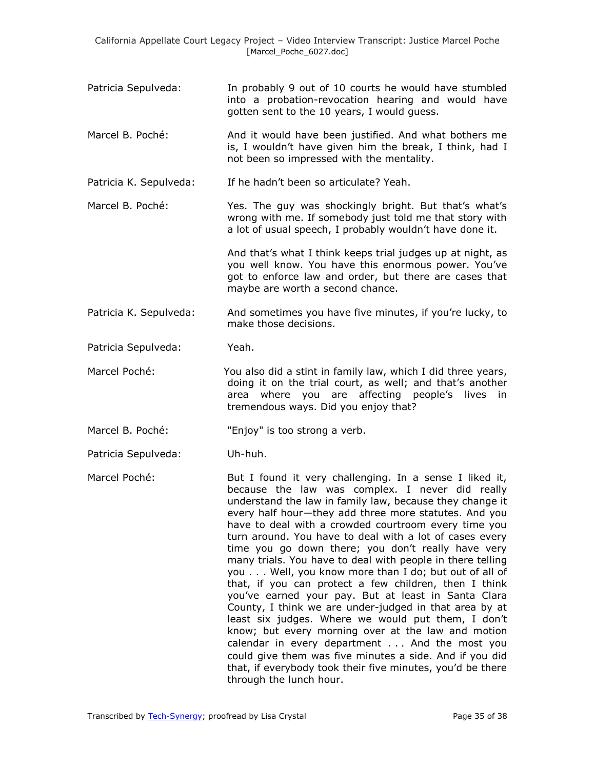- Patricia Sepulveda: In probably 9 out of 10 courts he would have stumbled into a probation-revocation hearing and would have gotten sent to the 10 years, I would guess.
- Marcel B. Poché: And it would have been justified. And what bothers me is, I wouldn't have given him the break, I think, had I not been so impressed with the mentality.

Patricia K. Sepulveda: If he hadn't been so articulate? Yeah.

Marcel B. Poché: Yes. The guy was shockingly bright. But that's what's wrong with me. If somebody just told me that story with a lot of usual speech, I probably wouldn't have done it.

> And that's what I think keeps trial judges up at night, as you well know. You have this enormous power. You've got to enforce law and order, but there are cases that maybe are worth a second chance.

Patricia K. Sepulveda: And sometimes you have five minutes, if you're lucky, to make those decisions.

Patricia Sepulveda: Yeah.

- Marcel Poché: You also did a stint in family law, which I did three years, doing it on the trial court, as well; and that's another area where you are affecting people's lives in tremendous ways. Did you enjoy that?
- Marcel B. Poché: "Enjoy" is too strong a verb.

Patricia Sepulveda: Uh-huh.

Marcel Poché: **But I** found it very challenging. In a sense I liked it, because the law was complex. I never did really understand the law in family law, because they change it every half hour—they add three more statutes. And you have to deal with a crowded courtroom every time you turn around. You have to deal with a lot of cases every time you go down there; you don't really have very many trials. You have to deal with people in there telling you . . . Well, you know more than I do; but out of all of that, if you can protect a few children, then I think you've earned your pay. But at least in Santa Clara County, I think we are under-judged in that area by at least six judges. Where we would put them, I don't know; but every morning over at the law and motion calendar in every department . . . And the most you could give them was five minutes a side. And if you did that, if everybody took their five minutes, you'd be there through the lunch hour.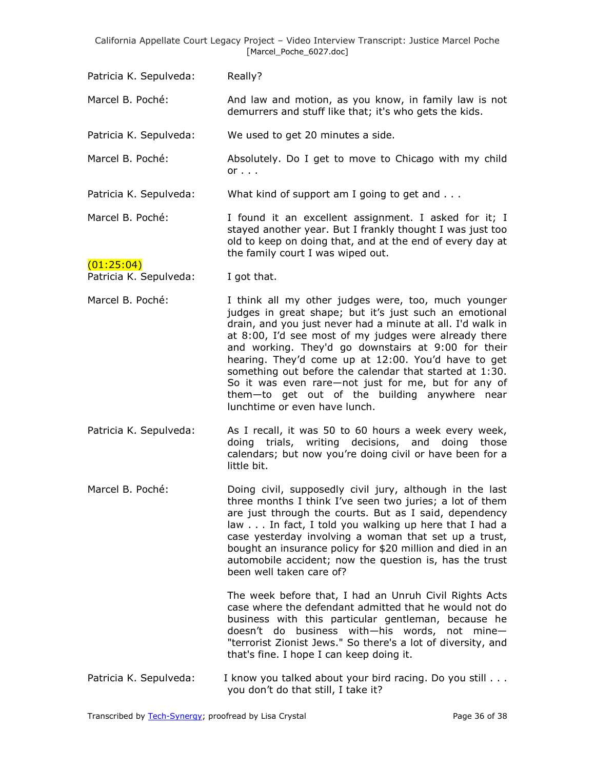Patricia K. Sepulveda: Really? Marcel B. Poché: And law and motion, as you know, in family law is not demurrers and stuff like that; it's who gets the kids. Patricia K. Sepulveda: We used to get 20 minutes a side. Marcel B. Poché: Absolutely. Do I get to move to Chicago with my child  $or \ldots$ Patricia K. Sepulveda: What kind of support am I going to get and . . . Marcel B. Poché: I found it an excellent assignment. I asked for it; I stayed another year. But I frankly thought I was just too old to keep on doing that, and at the end of every day at the family court I was wiped out.  $(01:25:04)$ Patricia K. Sepulveda: I got that. Marcel B. Poché: I think all my other judges were, too, much younger judges in great shape; but it's just such an emotional drain, and you just never had a minute at all. I'd walk in at 8:00, I'd see most of my judges were already there and working. They'd go downstairs at 9:00 for their hearing. They'd come up at 12:00. You'd have to get something out before the calendar that started at 1:30. So it was even rare—not just for me, but for any of them—to get out of the building anywhere near lunchtime or even have lunch. Patricia K. Sepulveda: As I recall, it was 50 to 60 hours a week every week, doing trials, writing decisions, and doing those calendars; but now you're doing civil or have been for a little bit. Marcel B. Poché: Doing civil, supposedly civil jury, although in the last three months I think I've seen two juries; a lot of them are just through the courts. But as I said, dependency law . . . In fact, I told you walking up here that I had a case yesterday involving a woman that set up a trust, bought an insurance policy for \$20 million and died in an automobile accident; now the question is, has the trust been well taken care of? The week before that, I had an Unruh Civil Rights Acts case where the defendant admitted that he would not do business with this particular gentleman, because he doesn't do business with—his words, not mine— "terrorist Zionist Jews." So there's a lot of diversity, and that's fine. I hope I can keep doing it. Patricia K. Sepulveda: I know you talked about your bird racing. Do you still . . . you don't do that still, I take it?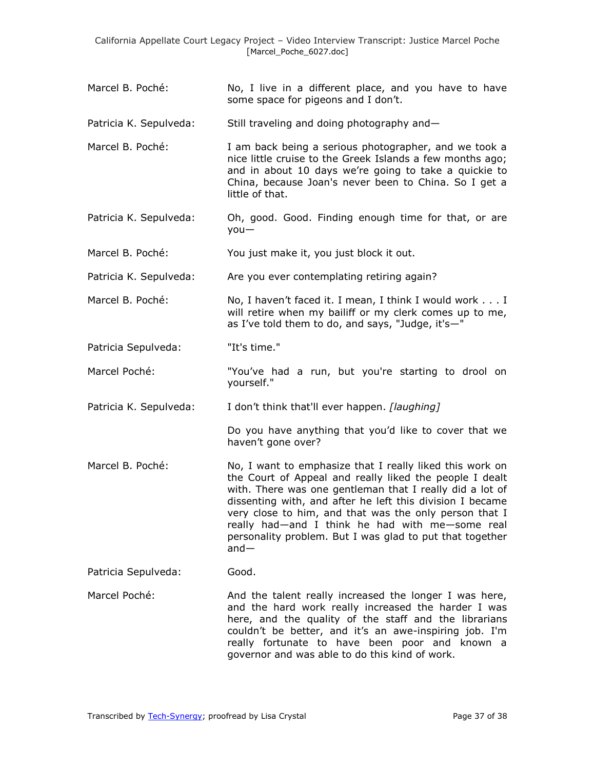- Marcel B. Poché: No, I live in a different place, and you have to have some space for pigeons and I don't.
- Patricia K. Sepulveda: Still traveling and doing photography and—
- Marcel B. Poché: I am back being a serious photographer, and we took a nice little cruise to the Greek Islands a few months ago; and in about 10 days we're going to take a quickie to China, because Joan's never been to China. So I get a little of that.
- Patricia K. Sepulveda: Oh, good. Good. Finding enough time for that, or are you—
- Marcel B. Poché: You just make it, you just block it out.
- Patricia K. Sepulveda: Are you ever contemplating retiring again?
- Marcel B. Poché: No, I haven't faced it. I mean, I think I would work . . . I will retire when my bailiff or my clerk comes up to me, as I've told them to do, and says, "Judge, it's—"
- Patricia Sepulveda: "It's time."
- Marcel Poché: "You've had a run, but you're starting to drool on yourself."
- Patricia K. Sepulveda: I don't think that'll ever happen. *[laughing]*

Do you have anything that you'd like to cover that we haven't gone over?

- Marcel B. Poché: No, I want to emphasize that I really liked this work on the Court of Appeal and really liked the people I dealt with. There was one gentleman that I really did a lot of dissenting with, and after he left this division I became very close to him, and that was the only person that I really had—and I think he had with me—some real personality problem. But I was glad to put that together and—
- Patricia Sepulveda: Good.
- Marcel Poché: And the talent really increased the longer I was here, and the hard work really increased the harder I was here, and the quality of the staff and the librarians couldn't be better, and it's an awe-inspiring job. I'm really fortunate to have been poor and known a governor and was able to do this kind of work.